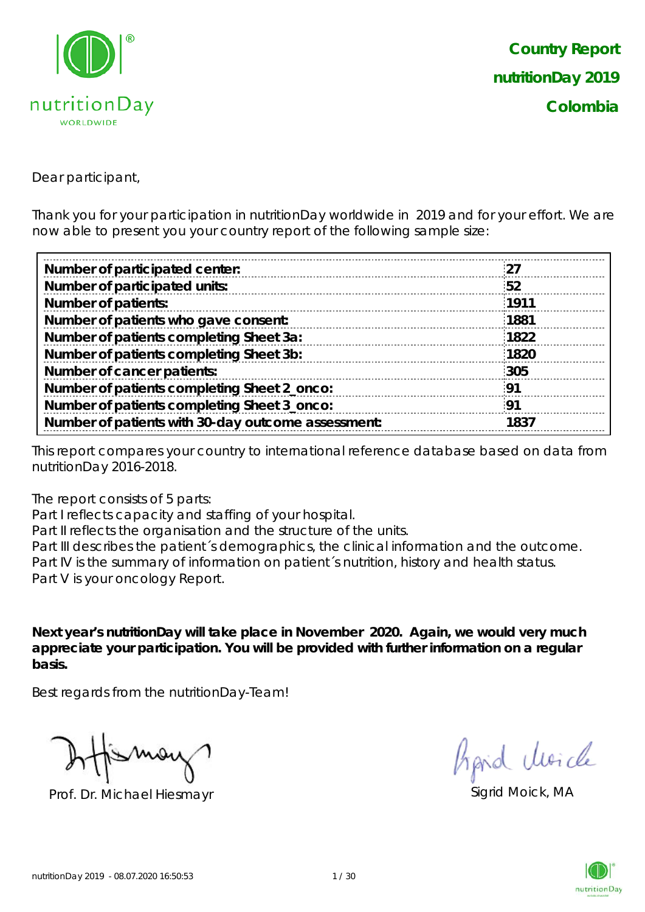

Dear participant,

Thank you for your participation in nutritionDay worldwide in 2019 and for your effort. We are now able to present you your country report of the following sample size:

| Number of participated center:                     | '27  |
|----------------------------------------------------|------|
| Number of participated units:                      | 52   |
| <b>Number of patients:</b>                         | 1911 |
| Number of patients who gave consent:               | 1881 |
| Number of patients completing Sheet 3a:            | 1822 |
| Number of patients completing Sheet 3b:            | 1820 |
| Number of cancer patients:                         | 305  |
| Number of patients completing Sheet 2_onco:        | -91  |
| Number of patients completing Sheet 3_onco:        | 91   |
| Number of patients with 30-day outcome assessment: | 1837 |

This report compares your country to international reference database based on data from nutritionDay 2016-2018.

The report consists of 5 parts:

Part I reflects capacity and staffing of your hospital.

Part II reflects the organisation and the structure of the units.

Part III describes the patient's demographics, the clinical information and the outcome. Part IV is the summary of information on patient´s nutrition, history and health status. Part V is your oncology Report.

**Next year's nutritionDay will take place in November 2020. Again, we would very much appreciate your participation. You will be provided with further information on a regular basis.**

Best regards from the nutritionDay-Team!

Prof. Dr. Michael Hiesmayr Sigrid Moick, MA

fipid Moich

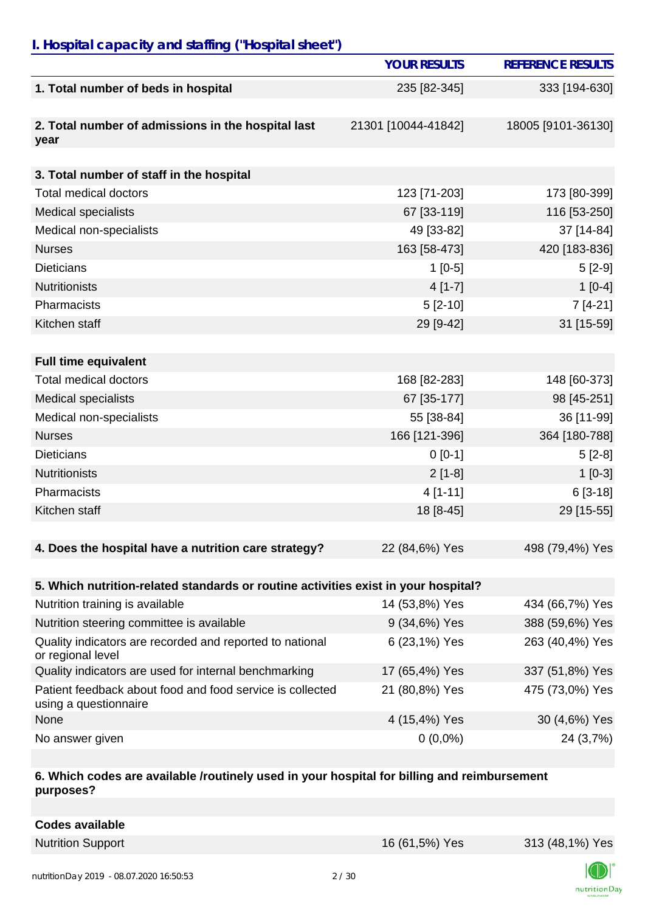# *I. Hospital capacity and staffing ("Hospital sheet")*

|                                                                                    | <b>YOUR RESULTS</b> | <b>REFERENCE RESULTS</b> |
|------------------------------------------------------------------------------------|---------------------|--------------------------|
| 1. Total number of beds in hospital                                                | 235 [82-345]        | 333 [194-630]            |
| 2. Total number of admissions in the hospital last<br>year                         | 21301 [10044-41842] | 18005 [9101-36130]       |
| 3. Total number of staff in the hospital                                           |                     |                          |
| <b>Total medical doctors</b>                                                       | 123 [71-203]        | 173 [80-399]             |
| <b>Medical specialists</b>                                                         | 67 [33-119]         | 116 [53-250]             |
| Medical non-specialists                                                            | 49 [33-82]          | 37 [14-84]               |
| <b>Nurses</b>                                                                      | 163 [58-473]        | 420 [183-836]            |
| <b>Dieticians</b>                                                                  | $1[0-5]$            | $5[2-9]$                 |
| <b>Nutritionists</b>                                                               | $4[1-7]$            | $1[0-4]$                 |
| Pharmacists                                                                        | $5[2-10]$           | $7[4-21]$                |
| Kitchen staff                                                                      | 29 [9-42]           | 31 [15-59]               |
|                                                                                    |                     |                          |
| <b>Full time equivalent</b>                                                        |                     |                          |
| <b>Total medical doctors</b>                                                       | 168 [82-283]        | 148 [60-373]             |
| <b>Medical specialists</b>                                                         | 67 [35-177]         | 98 [45-251]              |
| Medical non-specialists                                                            | 55 [38-84]          | 36 [11-99]               |
| <b>Nurses</b>                                                                      | 166 [121-396]       | 364 [180-788]            |
| <b>Dieticians</b>                                                                  | $0 [0-1]$           | $5[2-8]$                 |
| <b>Nutritionists</b>                                                               | $2[1-8]$            | $1[0-3]$                 |
| Pharmacists                                                                        | $4[1-11]$           | $6[3-18]$                |
| Kitchen staff                                                                      | 18 [8-45]           | 29 [15-55]               |
|                                                                                    |                     |                          |
| 4. Does the hospital have a nutrition care strategy?                               | 22 (84,6%) Yes      | 498 (79,4%) Yes          |
|                                                                                    |                     |                          |
| 5. Which nutrition-related standards or routine activities exist in your hospital? |                     |                          |
| Nutrition training is available                                                    | 14 (53,8%) Yes      | 434 (66,7%) Yes          |
| Nutrition steering committee is available                                          | 9 (34,6%) Yes       | 388 (59,6%) Yes          |
| Quality indicators are recorded and reported to national<br>or regional level      | 6 (23,1%) Yes       | 263 (40,4%) Yes          |
| Quality indicators are used for internal benchmarking                              | 17 (65,4%) Yes      | 337 (51,8%) Yes          |
| Patient feedback about food and food service is collected<br>using a questionnaire | 21 (80,8%) Yes      | 475 (73,0%) Yes          |
| None                                                                               | 4 (15,4%) Yes       | 30 (4,6%) Yes            |
| No answer given                                                                    | $0(0,0\%)$          | 24 (3,7%)                |

#### **6. Which codes are available /routinely used in your hospital for billing and reimbursement purposes?**

| <b>Codes available</b> |
|------------------------|
|------------------------|

Nutrition Support 16 (61,5%) Yes 313 (48,1%) Yes

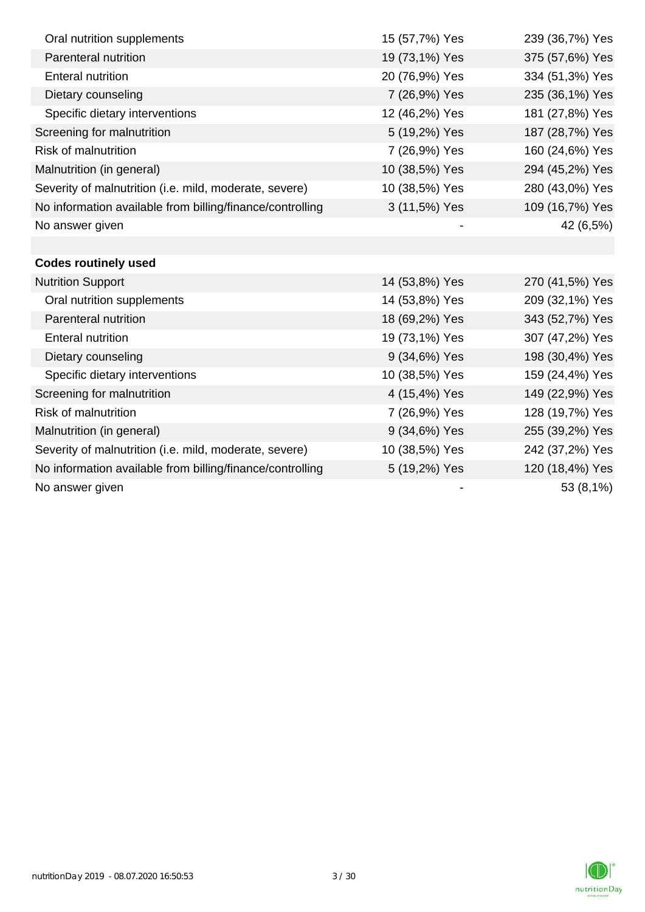| Oral nutrition supplements                                | 15 (57,7%) Yes | 239 (36,7%) Yes |
|-----------------------------------------------------------|----------------|-----------------|
| Parenteral nutrition                                      | 19 (73,1%) Yes | 375 (57,6%) Yes |
| <b>Enteral nutrition</b>                                  | 20 (76,9%) Yes | 334 (51,3%) Yes |
| Dietary counseling                                        | 7 (26,9%) Yes  | 235 (36,1%) Yes |
| Specific dietary interventions                            | 12 (46,2%) Yes | 181 (27,8%) Yes |
| Screening for malnutrition                                | 5 (19,2%) Yes  | 187 (28,7%) Yes |
| <b>Risk of malnutrition</b>                               | 7 (26,9%) Yes  | 160 (24,6%) Yes |
| Malnutrition (in general)                                 | 10 (38,5%) Yes | 294 (45,2%) Yes |
| Severity of malnutrition (i.e. mild, moderate, severe)    | 10 (38,5%) Yes | 280 (43,0%) Yes |
| No information available from billing/finance/controlling | 3 (11,5%) Yes  | 109 (16,7%) Yes |
| No answer given                                           |                | 42 (6,5%)       |
|                                                           |                |                 |
| <b>Codes routinely used</b>                               |                |                 |
| <b>Nutrition Support</b>                                  | 14 (53,8%) Yes | 270 (41,5%) Yes |
| Oral nutrition supplements                                | 14 (53,8%) Yes | 209 (32,1%) Yes |
| Parenteral nutrition                                      | 18 (69,2%) Yes | 343 (52,7%) Yes |
| <b>Enteral nutrition</b>                                  | 19 (73,1%) Yes | 307 (47,2%) Yes |
| Dietary counseling                                        | 9 (34,6%) Yes  | 198 (30,4%) Yes |
| Specific dietary interventions                            | 10 (38,5%) Yes | 159 (24,4%) Yes |
| Screening for malnutrition                                | 4 (15,4%) Yes  | 149 (22,9%) Yes |
| <b>Risk of malnutrition</b>                               | 7 (26,9%) Yes  | 128 (19,7%) Yes |
| Malnutrition (in general)                                 | 9 (34,6%) Yes  | 255 (39,2%) Yes |
| Severity of malnutrition (i.e. mild, moderate, severe)    | 10 (38,5%) Yes | 242 (37,2%) Yes |
| No information available from billing/finance/controlling | 5 (19,2%) Yes  | 120 (18,4%) Yes |
| No answer given                                           |                | 53 (8,1%)       |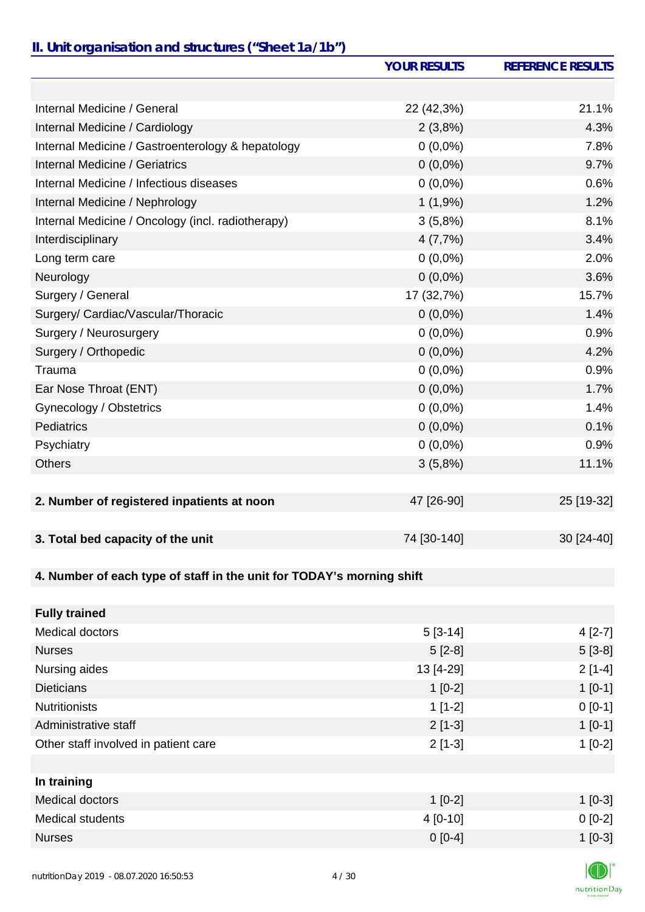### *II. Unit organisation and structures ("Sheet 1a/1b")*

|                                                                       | <b>YOUR RESULTS</b> | <b>REFERENCE RESULTS</b> |
|-----------------------------------------------------------------------|---------------------|--------------------------|
|                                                                       |                     |                          |
| Internal Medicine / General                                           | 22 (42,3%)          | 21.1%                    |
| Internal Medicine / Cardiology                                        | 2(3,8%)             | 4.3%                     |
| Internal Medicine / Gastroenterology & hepatology                     | $0(0,0\%)$          | 7.8%                     |
| Internal Medicine / Geriatrics                                        | $0(0,0\%)$          | 9.7%                     |
| Internal Medicine / Infectious diseases                               | $0(0,0\%)$          | 0.6%                     |
| Internal Medicine / Nephrology                                        | 1(1,9%)             | 1.2%                     |
| Internal Medicine / Oncology (incl. radiotherapy)                     | 3(5,8%)             | 8.1%                     |
| Interdisciplinary                                                     | 4(7,7%)             | 3.4%                     |
| Long term care                                                        | $0(0,0\%)$          | 2.0%                     |
| Neurology                                                             | $0(0,0\%)$          | 3.6%                     |
| Surgery / General                                                     | 17 (32,7%)          | 15.7%                    |
| Surgery/ Cardiac/Vascular/Thoracic                                    | $0(0,0\%)$          | 1.4%                     |
| Surgery / Neurosurgery                                                | $0(0,0\%)$          | 0.9%                     |
| Surgery / Orthopedic                                                  | $0(0,0\%)$          | 4.2%                     |
| Trauma                                                                | $0(0,0\%)$          | 0.9%                     |
| Ear Nose Throat (ENT)                                                 | $0(0,0\%)$          | 1.7%                     |
| Gynecology / Obstetrics                                               | $0(0,0\%)$          | 1.4%                     |
| <b>Pediatrics</b>                                                     | $0(0,0\%)$          | 0.1%                     |
| Psychiatry                                                            | $0(0,0\%)$          | 0.9%                     |
| <b>Others</b>                                                         | 3(5,8%)             | 11.1%                    |
|                                                                       |                     |                          |
| 2. Number of registered inpatients at noon                            | 47 [26-90]          | 25 [19-32]               |
|                                                                       |                     |                          |
| 3. Total bed capacity of the unit                                     | 74 [30-140]         | 30 [24-40]               |
|                                                                       |                     |                          |
| 4. Number of each type of staff in the unit for TODAY's morning shift |                     |                          |
| <b>Fully trained</b>                                                  |                     |                          |
| Medical doctors                                                       | $5[3-14]$           | $4[2-7]$                 |
| <b>Nurses</b>                                                         | $5[2-8]$            | $5[3-8]$                 |
| Nursing aides                                                         | 13 [4-29]           | $2[1-4]$                 |
| <b>Dieticians</b>                                                     | $1[0-2]$            | $1[0-1]$                 |
| <b>Nutritionists</b>                                                  | $1[1-2]$            | $0[0-1]$                 |
| Administrative staff                                                  | $2[1-3]$            | $1[0-1]$                 |
| Other staff involved in patient care                                  | $2[1-3]$            | $1[0-2]$                 |
|                                                                       |                     |                          |
| In training                                                           |                     |                          |

| in uanniy        |           |           |
|------------------|-----------|-----------|
| Medical doctors  | $1$ [0-2] | $1[0-3]$  |
| Medical students | 4 [0-10]  | $0 [0-2]$ |
| <b>Nurses</b>    | $0 [0-4]$ | $1[0-3]$  |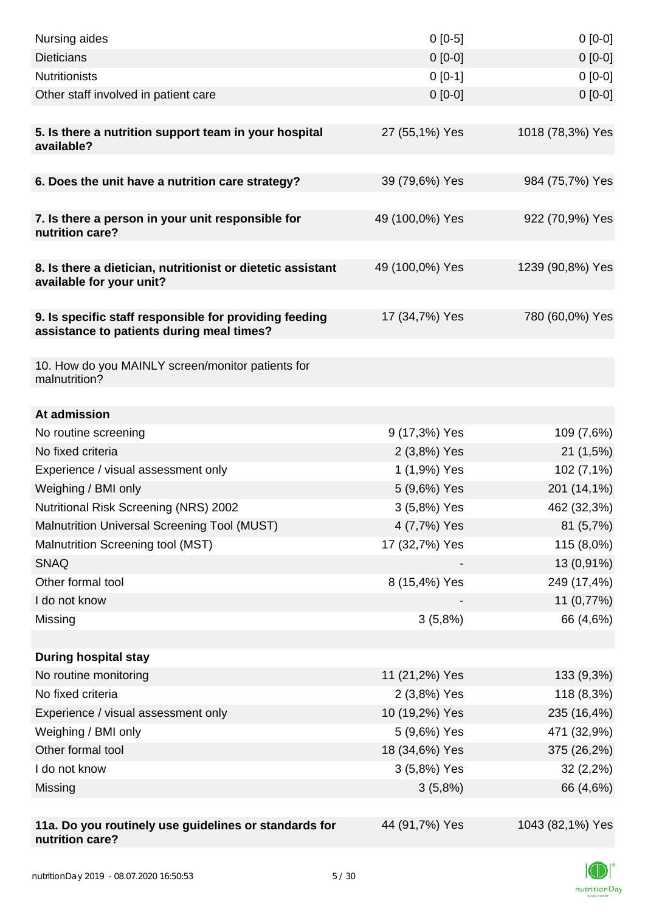| Nursing aides                                                                                       | $0[0-5]$        | $0[0-0]$         |
|-----------------------------------------------------------------------------------------------------|-----------------|------------------|
| <b>Dieticians</b>                                                                                   | $0 [0-0]$       | $0[0-0]$         |
| <b>Nutritionists</b>                                                                                | $0[0-1]$        | $0[0-0]$         |
| Other staff involved in patient care                                                                | $0$ [0-0]       | $0[0-0]$         |
| 5. Is there a nutrition support team in your hospital<br>available?                                 | 27 (55,1%) Yes  | 1018 (78,3%) Yes |
| 6. Does the unit have a nutrition care strategy?                                                    | 39 (79,6%) Yes  | 984 (75,7%) Yes  |
|                                                                                                     |                 |                  |
| 7. Is there a person in your unit responsible for<br>nutrition care?                                | 49 (100,0%) Yes | 922 (70,9%) Yes  |
| 8. Is there a dietician, nutritionist or dietetic assistant<br>available for your unit?             | 49 (100,0%) Yes | 1239 (90,8%) Yes |
| 9. Is specific staff responsible for providing feeding<br>assistance to patients during meal times? | 17 (34,7%) Yes  | 780 (60,0%) Yes  |
| 10. How do you MAINLY screen/monitor patients for<br>malnutrition?                                  |                 |                  |
| At admission                                                                                        |                 |                  |
| No routine screening                                                                                | 9 (17,3%) Yes   | 109 (7,6%)       |
| No fixed criteria                                                                                   | 2 (3,8%) Yes    | 21(1,5%)         |
| Experience / visual assessment only                                                                 | 1 (1,9%) Yes    | 102 (7,1%)       |
| Weighing / BMI only                                                                                 | 5 (9,6%) Yes    | 201 (14,1%)      |
| Nutritional Risk Screening (NRS) 2002                                                               | 3 (5,8%) Yes    | 462 (32,3%)      |
| Malnutrition Universal Screening Tool (MUST)                                                        | 4 (7,7%) Yes    | 81 (5,7%)        |
| Malnutrition Screening tool (MST)                                                                   | 17 (32,7%) Yes  | 115 (8,0%)       |
| <b>SNAQ</b>                                                                                         |                 | 13 (0,91%)       |
| Other formal tool                                                                                   | 8 (15,4%) Yes   | 249 (17,4%)      |
| I do not know                                                                                       |                 | 11 (0,77%)       |
| Missing                                                                                             | 3(5,8%)         | 66 (4,6%)        |
|                                                                                                     |                 |                  |
| <b>During hospital stay</b>                                                                         |                 |                  |
| No routine monitoring                                                                               | 11 (21,2%) Yes  | 133 (9,3%)       |
| No fixed criteria                                                                                   | 2 (3,8%) Yes    | 118 (8,3%)       |
| Experience / visual assessment only                                                                 | 10 (19,2%) Yes  | 235 (16,4%)      |
| Weighing / BMI only                                                                                 | 5 (9,6%) Yes    | 471 (32,9%)      |
| Other formal tool                                                                                   | 18 (34,6%) Yes  | 375 (26,2%)      |
| I do not know                                                                                       | 3 (5,8%) Yes    | $32(2,2\%)$      |
| Missing                                                                                             | 3(5,8%)         | 66 (4,6%)        |
|                                                                                                     |                 |                  |
| 11a. Do you routinely use guidelines or standards for<br>nutrition care?                            | 44 (91,7%) Yes  | 1043 (82,1%) Yes |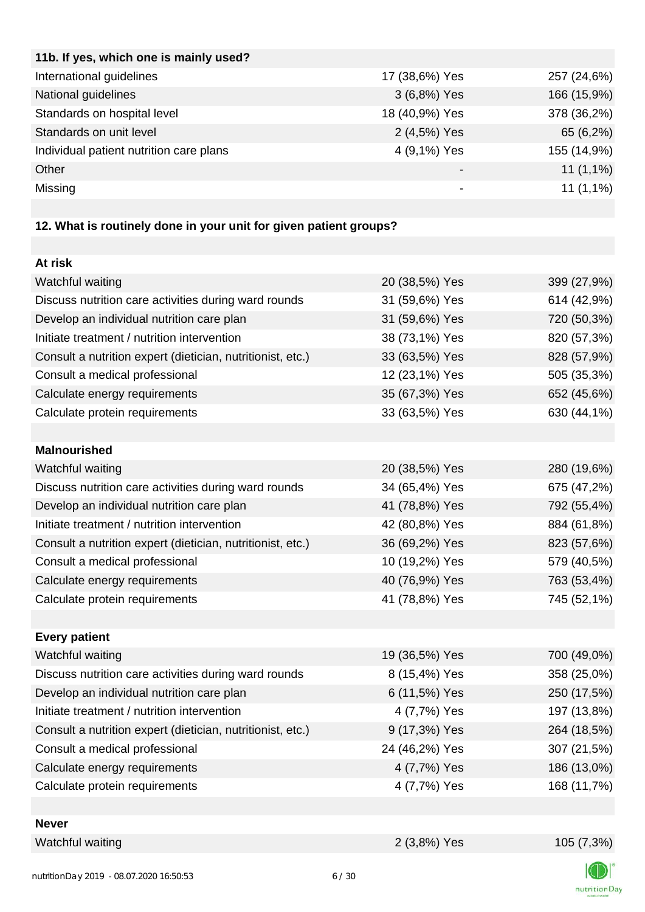| 11b. If yes, which one is mainly used?  |                |             |
|-----------------------------------------|----------------|-------------|
| International guidelines                | 17 (38,6%) Yes | 257 (24,6%) |
| National guidelines                     | 3 (6,8%) Yes   | 166 (15,9%) |
| Standards on hospital level             | 18 (40,9%) Yes | 378 (36,2%) |
| Standards on unit level                 | 2 (4,5%) Yes   | 65 (6,2%)   |
| Individual patient nutrition care plans | 4 (9,1%) Yes   | 155 (14,9%) |
| Other                                   |                | $11(1,1\%)$ |
| Missing                                 | -              | $11(1,1\%)$ |
|                                         |                |             |

# **12. What is routinely done in your unit for given patient groups?**

| At risk                                                    |                |             |
|------------------------------------------------------------|----------------|-------------|
| Watchful waiting                                           | 20 (38,5%) Yes | 399 (27,9%) |
| Discuss nutrition care activities during ward rounds       | 31 (59,6%) Yes | 614 (42,9%) |
| Develop an individual nutrition care plan                  | 31 (59,6%) Yes | 720 (50,3%) |
| Initiate treatment / nutrition intervention                | 38 (73,1%) Yes | 820 (57,3%) |
| Consult a nutrition expert (dietician, nutritionist, etc.) | 33 (63,5%) Yes | 828 (57,9%) |
| Consult a medical professional                             | 12 (23,1%) Yes | 505 (35,3%) |
| Calculate energy requirements                              | 35 (67,3%) Yes | 652 (45,6%) |
| Calculate protein requirements                             | 33 (63,5%) Yes | 630 (44,1%) |
|                                                            |                |             |
| <b>Malnourished</b>                                        |                |             |
| Watchful waiting                                           | 20 (38,5%) Yes | 280 (19,6%) |
| Discuss nutrition care activities during ward rounds       | 34 (65,4%) Yes | 675 (47,2%) |
| Develop an individual nutrition care plan                  | 41 (78,8%) Yes | 792 (55,4%) |
| Initiate treatment / nutrition intervention                | 42 (80,8%) Yes | 884 (61,8%) |
| Consult a nutrition expert (dietician, nutritionist, etc.) | 36 (69,2%) Yes | 823 (57,6%) |
| Consult a medical professional                             | 10 (19,2%) Yes | 579 (40,5%) |
| Calculate energy requirements                              | 40 (76,9%) Yes | 763 (53,4%) |
| Calculate protein requirements                             | 41 (78,8%) Yes | 745 (52,1%) |
|                                                            |                |             |
| <b>Every patient</b>                                       |                |             |
| Watchful waiting                                           | 19 (36,5%) Yes | 700 (49,0%) |
| Discuss nutrition care activities during ward rounds       | 8 (15,4%) Yes  | 358 (25,0%) |
| Develop an individual nutrition care plan                  | 6 (11,5%) Yes  | 250 (17,5%) |
| Initiate treatment / nutrition intervention                | 4 (7,7%) Yes   | 197 (13,8%) |
| Consult a nutrition expert (dietician, nutritionist, etc.) | 9 (17,3%) Yes  | 264 (18,5%) |
| Consult a medical professional                             | 24 (46,2%) Yes | 307 (21,5%) |
| Calculate energy requirements                              | 4 (7,7%) Yes   | 186 (13,0%) |
| Calculate protein requirements                             | 4 (7,7%) Yes   | 168 (11,7%) |
|                                                            |                |             |
| <b>Never</b>                                               |                |             |
| Watchful waiting                                           | 2 (3,8%) Yes   | 105 (7,3%)  |

**I**CI nutritionDay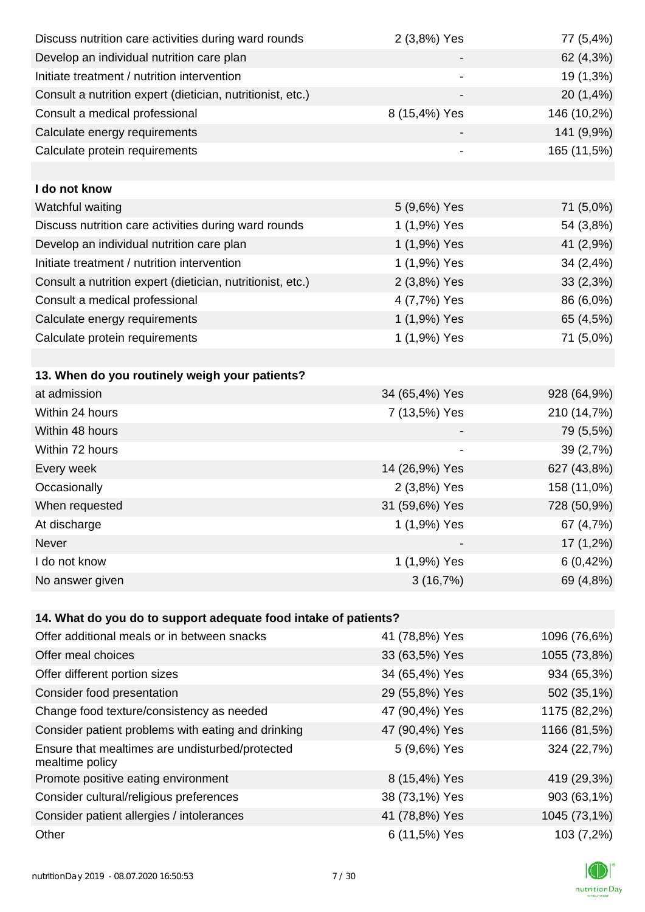| Discuss nutrition care activities during ward rounds               | 2 (3,8%) Yes   | 77 (5,4%)    |
|--------------------------------------------------------------------|----------------|--------------|
| Develop an individual nutrition care plan                          |                | 62 (4,3%)    |
| Initiate treatment / nutrition intervention                        |                | 19 (1,3%)    |
| Consult a nutrition expert (dietician, nutritionist, etc.)         |                | 20 (1,4%)    |
| Consult a medical professional                                     | 8 (15,4%) Yes  | 146 (10,2%)  |
| Calculate energy requirements                                      |                | 141 (9,9%)   |
| Calculate protein requirements                                     |                | 165 (11,5%)  |
|                                                                    |                |              |
| I do not know                                                      |                |              |
| Watchful waiting                                                   | 5 (9,6%) Yes   | 71 (5,0%)    |
| Discuss nutrition care activities during ward rounds               | 1 (1,9%) Yes   | 54 (3,8%)    |
| Develop an individual nutrition care plan                          | 1 (1,9%) Yes   | 41 (2,9%)    |
| Initiate treatment / nutrition intervention                        | 1 (1,9%) Yes   | 34 (2,4%)    |
| Consult a nutrition expert (dietician, nutritionist, etc.)         | 2 (3,8%) Yes   | 33(2,3%)     |
| Consult a medical professional                                     | 4 (7,7%) Yes   | 86 (6,0%)    |
| Calculate energy requirements                                      | 1 (1,9%) Yes   | 65 (4,5%)    |
| Calculate protein requirements                                     | 1 (1,9%) Yes   | 71 (5,0%)    |
|                                                                    |                |              |
| 13. When do you routinely weigh your patients?                     |                |              |
| at admission                                                       | 34 (65,4%) Yes | 928 (64,9%)  |
| Within 24 hours                                                    | 7 (13,5%) Yes  | 210 (14,7%)  |
| Within 48 hours                                                    |                | 79 (5,5%)    |
| Within 72 hours                                                    |                | 39 (2,7%)    |
| Every week                                                         | 14 (26,9%) Yes | 627 (43,8%)  |
| Occasionally                                                       | 2 (3,8%) Yes   | 158 (11,0%)  |
| When requested                                                     | 31 (59,6%) Yes | 728 (50,9%)  |
| At discharge                                                       | 1 (1,9%) Yes   | 67 (4,7%)    |
| Never                                                              |                | $17(1,2\%)$  |
| I do not know                                                      | 1 (1,9%) Yes   | 6(0,42%)     |
| No answer given                                                    | 3(16,7%)       | 69 (4,8%)    |
|                                                                    |                |              |
| 14. What do you do to support adequate food intake of patients?    |                |              |
| Offer additional meals or in between snacks                        | 41 (78,8%) Yes | 1096 (76,6%) |
| Offer meal choices                                                 | 33 (63,5%) Yes | 1055 (73,8%) |
| Offer different portion sizes                                      | 34 (65,4%) Yes | 934 (65,3%)  |
| Consider food presentation                                         | 29 (55,8%) Yes | 502 (35,1%)  |
| Change food texture/consistency as needed                          | 47 (90,4%) Yes | 1175 (82,2%) |
| Consider patient problems with eating and drinking                 | 47 (90,4%) Yes | 1166 (81,5%) |
| Ensure that mealtimes are undisturbed/protected<br>mealtime policy | 5 (9,6%) Yes   | 324 (22,7%)  |
| Promote positive eating environment                                | 8 (15,4%) Yes  | 419 (29,3%)  |
| Consider cultural/religious preferences                            | 38 (73,1%) Yes | 903 (63,1%)  |
| Consider patient allergies / intolerances                          | 41 (78,8%) Yes | 1045 (73,1%) |
| Other                                                              | 6 (11,5%) Yes  | 103 (7,2%)   |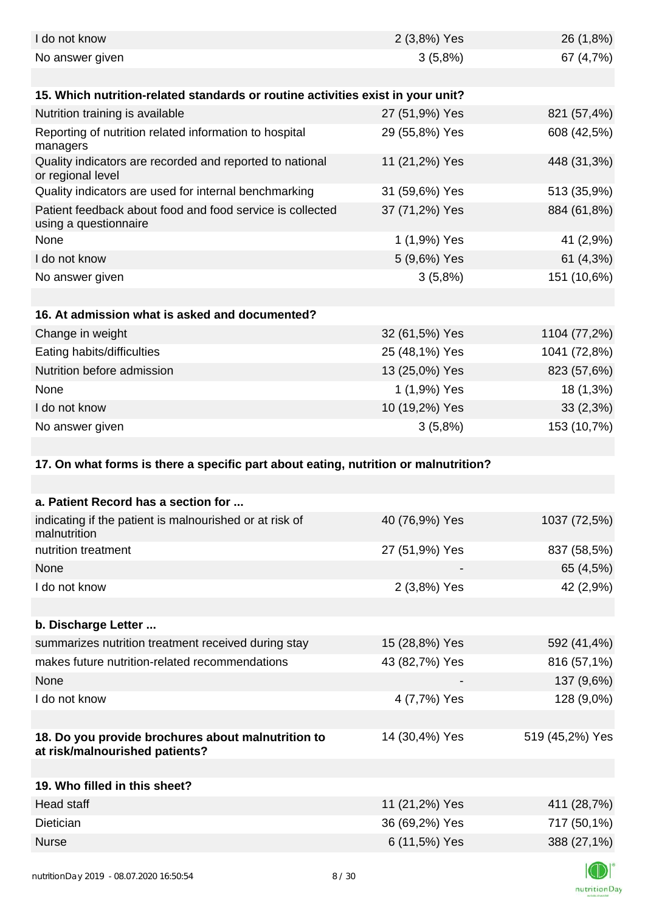| I do not know                                                                        | 2 (3,8%) Yes   | 26 (1,8%)       |
|--------------------------------------------------------------------------------------|----------------|-----------------|
| No answer given                                                                      | 3(5,8%)        | 67 (4,7%)       |
|                                                                                      |                |                 |
| 15. Which nutrition-related standards or routine activities exist in your unit?      |                |                 |
| Nutrition training is available                                                      | 27 (51,9%) Yes | 821 (57,4%)     |
| Reporting of nutrition related information to hospital<br>managers                   | 29 (55,8%) Yes | 608 (42,5%)     |
| Quality indicators are recorded and reported to national<br>or regional level        | 11 (21,2%) Yes | 448 (31,3%)     |
| Quality indicators are used for internal benchmarking                                | 31 (59,6%) Yes | 513 (35,9%)     |
| Patient feedback about food and food service is collected<br>using a questionnaire   | 37 (71,2%) Yes | 884 (61,8%)     |
| None                                                                                 | 1 (1,9%) Yes   | 41 (2,9%)       |
| I do not know                                                                        | 5 (9,6%) Yes   | 61 (4,3%)       |
| No answer given                                                                      | 3(5,8%)        | 151 (10,6%)     |
|                                                                                      |                |                 |
| 16. At admission what is asked and documented?                                       |                |                 |
| Change in weight                                                                     | 32 (61,5%) Yes | 1104 (77,2%)    |
| Eating habits/difficulties                                                           | 25 (48,1%) Yes | 1041 (72,8%)    |
| Nutrition before admission                                                           | 13 (25,0%) Yes | 823 (57,6%)     |
| None                                                                                 | 1 (1,9%) Yes   | 18 (1,3%)       |
| I do not know                                                                        | 10 (19,2%) Yes | 33(2,3%)        |
| No answer given                                                                      | 3(5,8%)        | 153 (10,7%)     |
| 17. On what forms is there a specific part about eating, nutrition or malnutrition?  |                |                 |
| a. Patient Record has a section for                                                  |                |                 |
| indicating if the patient is malnourished or at risk of<br>malnutrition              | 40 (76,9%) Yes | 1037 (72,5%)    |
| nutrition treatment                                                                  | 27 (51,9%) Yes | 837 (58,5%)     |
| None                                                                                 |                | 65 (4,5%)       |
| I do not know                                                                        | 2 (3,8%) Yes   | 42 (2,9%)       |
|                                                                                      |                |                 |
| b. Discharge Letter                                                                  |                |                 |
| summarizes nutrition treatment received during stay                                  |                |                 |
|                                                                                      | 15 (28,8%) Yes | 592 (41,4%)     |
| makes future nutrition-related recommendations                                       | 43 (82,7%) Yes | 816 (57,1%)     |
| None                                                                                 |                | 137 (9,6%)      |
| I do not know                                                                        | 4 (7,7%) Yes   | 128 (9,0%)      |
|                                                                                      |                |                 |
| 18. Do you provide brochures about malnutrition to<br>at risk/malnourished patients? | 14 (30,4%) Yes | 519 (45,2%) Yes |
|                                                                                      |                |                 |
| 19. Who filled in this sheet?                                                        |                |                 |
| <b>Head staff</b>                                                                    | 11 (21,2%) Yes | 411 (28,7%)     |
| Dietician                                                                            | 36 (69,2%) Yes | 717 (50,1%)     |
| <b>Nurse</b>                                                                         | 6 (11,5%) Yes  | 388 (27,1%)     |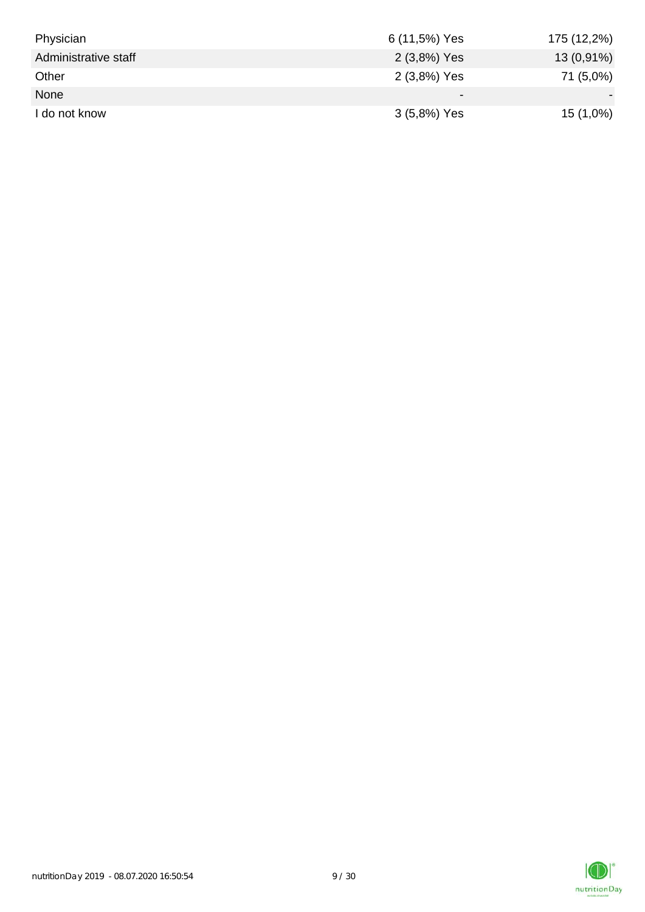| Physician            | 6 (11,5%) Yes | 175 (12,2%)  |
|----------------------|---------------|--------------|
| Administrative staff | 2 (3,8%) Yes  | $13(0,91\%)$ |
| Other                | 2 (3,8%) Yes  | 71 (5,0%)    |
| None                 |               |              |
| I do not know        | 3 (5,8%) Yes  | $15(1,0\%)$  |

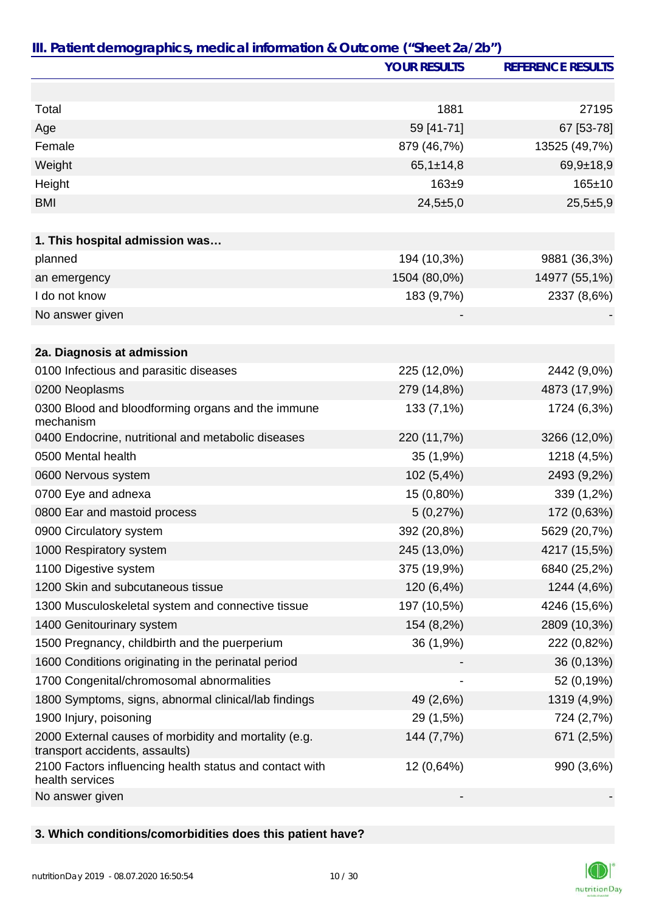|                                                                                         | <b>YOUR RESULTS</b> | <b>REFERENCE RESULTS</b> |
|-----------------------------------------------------------------------------------------|---------------------|--------------------------|
|                                                                                         |                     |                          |
| Total                                                                                   | 1881                | 27195                    |
| Age                                                                                     | 59 [41-71]          | 67 [53-78]               |
| Female                                                                                  | 879 (46,7%)         | 13525 (49,7%)            |
| Weight                                                                                  | $65,1 \pm 14,8$     | $69,9+18,9$              |
| Height                                                                                  | $163 + 9$           | $165 \pm 10$             |
| <b>BMI</b>                                                                              | $24,5+5,0$          | $25,5+5,9$               |
|                                                                                         |                     |                          |
| 1. This hospital admission was                                                          |                     |                          |
| planned                                                                                 | 194 (10,3%)         | 9881 (36,3%)             |
| an emergency                                                                            | 1504 (80,0%)        | 14977 (55,1%)            |
| I do not know                                                                           | 183 (9,7%)          | 2337 (8,6%)              |
| No answer given                                                                         |                     |                          |
|                                                                                         |                     |                          |
| 2a. Diagnosis at admission                                                              |                     |                          |
| 0100 Infectious and parasitic diseases                                                  | 225 (12,0%)         | 2442 (9,0%)              |
| 0200 Neoplasms                                                                          | 279 (14,8%)         | 4873 (17,9%)             |
| 0300 Blood and bloodforming organs and the immune<br>mechanism                          | 133 (7,1%)          | 1724 (6,3%)              |
| 0400 Endocrine, nutritional and metabolic diseases                                      | 220 (11,7%)         | 3266 (12,0%)             |
| 0500 Mental health                                                                      | 35 (1,9%)           | 1218 (4,5%)              |
| 0600 Nervous system                                                                     | 102 (5,4%)          | 2493 (9,2%)              |
| 0700 Eye and adnexa                                                                     | 15 (0,80%)          | 339 (1,2%)               |
| 0800 Ear and mastoid process                                                            | 5(0,27%)            | 172 (0,63%)              |
| 0900 Circulatory system                                                                 | 392 (20,8%)         | 5629 (20,7%)             |
| 1000 Respiratory system                                                                 | 245 (13,0%)         | 4217 (15,5%)             |
| 1100 Digestive system                                                                   | 375 (19,9%)         | 6840 (25,2%)             |
| 1200 Skin and subcutaneous tissue                                                       | 120 (6,4%)          | 1244 (4,6%)              |
| 1300 Musculoskeletal system and connective tissue                                       | 197 (10,5%)         | 4246 (15,6%)             |
| 1400 Genitourinary system                                                               | 154 (8,2%)          | 2809 (10,3%)             |
| 1500 Pregnancy, childbirth and the puerperium                                           | 36 (1,9%)           | 222 (0,82%)              |
| 1600 Conditions originating in the perinatal period                                     |                     | 36 (0,13%)               |
| 1700 Congenital/chromosomal abnormalities                                               |                     | 52 (0,19%)               |
| 1800 Symptoms, signs, abnormal clinical/lab findings                                    | 49 (2,6%)           | 1319 (4,9%)              |
| 1900 Injury, poisoning                                                                  | 29 (1,5%)           | 724 (2,7%)               |
| 2000 External causes of morbidity and mortality (e.g.<br>transport accidents, assaults) | 144 (7,7%)          | 671 (2,5%)               |
| 2100 Factors influencing health status and contact with<br>health services              | 12 (0,64%)          | 990 (3,6%)               |
| No answer given                                                                         |                     |                          |

# **3. Which conditions/comorbidities does this patient have?**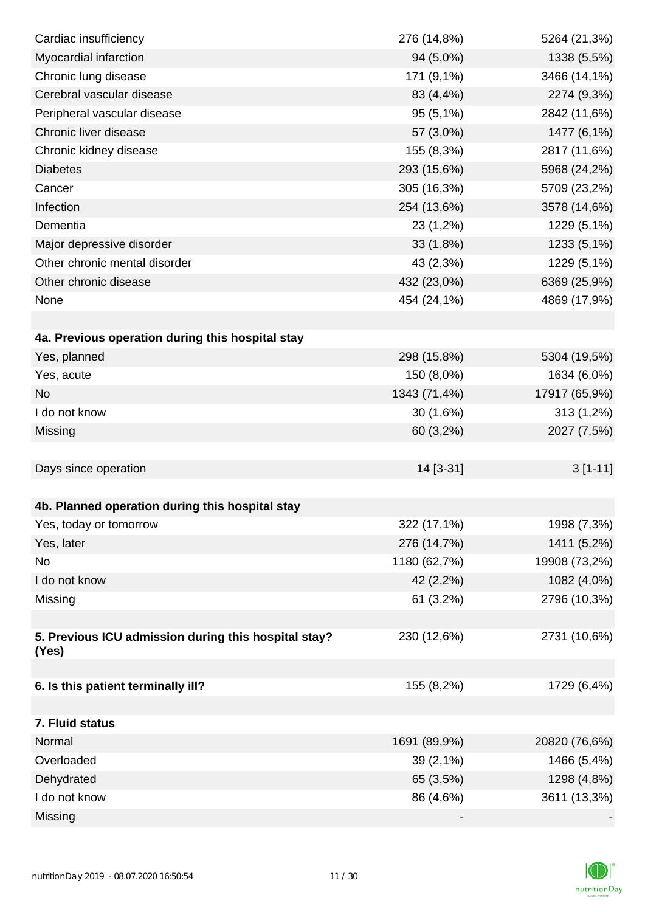| Cardiac insufficiency                                | 276 (14,8%)  | 5264 (21,3%)  |
|------------------------------------------------------|--------------|---------------|
| Myocardial infarction                                | 94 (5,0%)    | 1338 (5,5%)   |
| Chronic lung disease                                 | 171 (9,1%)   | 3466 (14,1%)  |
| Cerebral vascular disease                            | 83 (4,4%)    | 2274 (9,3%)   |
| Peripheral vascular disease                          | 95 (5,1%)    | 2842 (11,6%)  |
| Chronic liver disease                                | 57 (3,0%)    | 1477 (6,1%)   |
| Chronic kidney disease                               | 155 (8,3%)   | 2817 (11,6%)  |
| <b>Diabetes</b>                                      | 293 (15,6%)  | 5968 (24,2%)  |
| Cancer                                               | 305 (16,3%)  | 5709 (23,2%)  |
| Infection                                            | 254 (13,6%)  | 3578 (14,6%)  |
| Dementia                                             | 23 (1,2%)    | 1229 (5,1%)   |
| Major depressive disorder                            | 33(1,8%)     | 1233 (5,1%)   |
| Other chronic mental disorder                        | 43 (2,3%)    | 1229 (5,1%)   |
| Other chronic disease                                | 432 (23,0%)  | 6369 (25,9%)  |
| None                                                 | 454 (24,1%)  | 4869 (17,9%)  |
|                                                      |              |               |
| 4a. Previous operation during this hospital stay     |              |               |
| Yes, planned                                         | 298 (15,8%)  | 5304 (19,5%)  |
| Yes, acute                                           | 150 (8,0%)   | 1634 (6,0%)   |
| <b>No</b>                                            | 1343 (71,4%) | 17917 (65,9%) |
| I do not know                                        | 30 (1,6%)    | $313(1,2\%)$  |
| Missing                                              | 60 (3,2%)    | 2027 (7,5%)   |
|                                                      |              |               |
| Days since operation                                 | 14 [3-31]    | $3[1-11]$     |
|                                                      |              |               |
| 4b. Planned operation during this hospital stay      |              |               |
| Yes, today or tomorrow                               | 322 (17,1%)  | 1998 (7,3%)   |
| Yes, later                                           | 276 (14,7%)  | 1411 (5,2%)   |
| No                                                   | 1180 (62,7%) | 19908 (73,2%) |
| I do not know                                        | 42 (2,2%)    | 1082 (4,0%)   |
| Missing                                              | 61(3,2%)     | 2796 (10,3%)  |
|                                                      |              |               |
| 5. Previous ICU admission during this hospital stay? | 230 (12,6%)  | 2731 (10,6%)  |
| (Yes)                                                |              |               |
| 6. Is this patient terminally ill?                   | 155 (8,2%)   | 1729 (6,4%)   |
|                                                      |              |               |
| 7. Fluid status                                      |              |               |
| Normal                                               | 1691 (89,9%) | 20820 (76,6%) |
| Overloaded                                           | 39 (2,1%)    | 1466 (5,4%)   |
| Dehydrated                                           | 65 (3,5%)    | 1298 (4,8%)   |
| I do not know                                        | 86 (4,6%)    | 3611 (13,3%)  |
| Missing                                              |              |               |

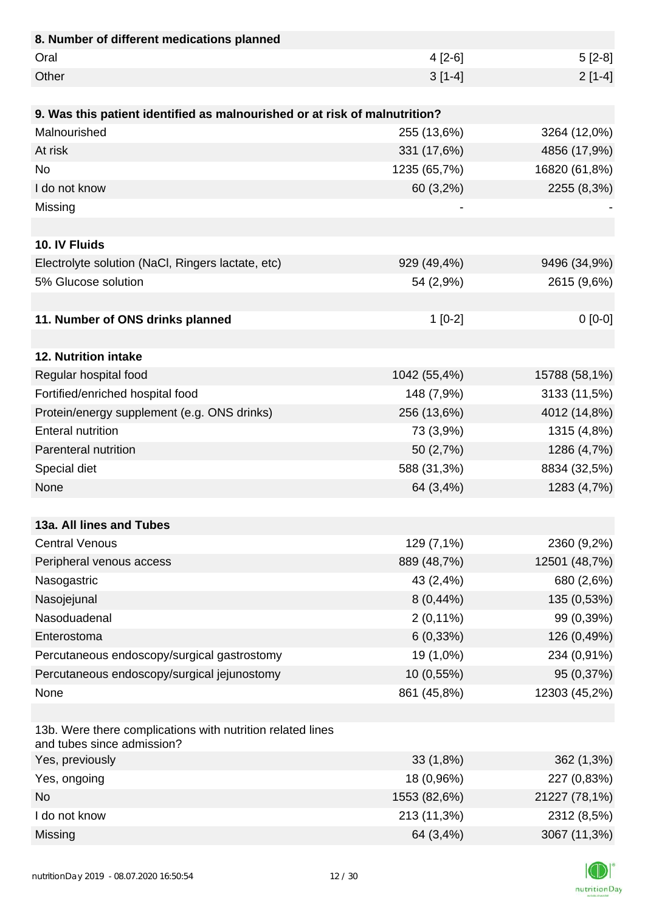| 8. Number of different medications planned                                               |              |               |
|------------------------------------------------------------------------------------------|--------------|---------------|
| Oral                                                                                     | $4[2-6]$     | $5[2-8]$      |
| Other                                                                                    | $3[1-4]$     | $2[1-4]$      |
|                                                                                          |              |               |
| 9. Was this patient identified as malnourished or at risk of malnutrition?               |              |               |
| Malnourished                                                                             | 255 (13,6%)  | 3264 (12,0%)  |
| At risk                                                                                  | 331 (17,6%)  | 4856 (17,9%)  |
| <b>No</b>                                                                                | 1235 (65,7%) | 16820 (61,8%) |
| I do not know                                                                            | 60 (3,2%)    | 2255 (8,3%)   |
| Missing                                                                                  |              |               |
|                                                                                          |              |               |
| 10. IV Fluids                                                                            |              |               |
| Electrolyte solution (NaCl, Ringers lactate, etc)                                        | 929 (49,4%)  | 9496 (34,9%)  |
| 5% Glucose solution                                                                      | 54 (2,9%)    | 2615 (9,6%)   |
|                                                                                          |              |               |
| 11. Number of ONS drinks planned                                                         | $1[0-2]$     | $0[0-0]$      |
|                                                                                          |              |               |
| 12. Nutrition intake                                                                     |              |               |
| Regular hospital food                                                                    | 1042 (55,4%) | 15788 (58,1%) |
| Fortified/enriched hospital food                                                         | 148 (7,9%)   | 3133 (11,5%)  |
| Protein/energy supplement (e.g. ONS drinks)                                              | 256 (13,6%)  | 4012 (14,8%)  |
| <b>Enteral nutrition</b>                                                                 | 73 (3,9%)    | 1315 (4,8%)   |
| Parenteral nutrition                                                                     | 50 (2,7%)    | 1286 (4,7%)   |
| Special diet                                                                             | 588 (31,3%)  | 8834 (32,5%)  |
| None                                                                                     | 64 (3,4%)    | 1283 (4,7%)   |
|                                                                                          |              |               |
| 13a. All lines and Tubes                                                                 |              |               |
| <b>Central Venous</b>                                                                    | 129 (7,1%)   | 2360 (9,2%)   |
| Peripheral venous access                                                                 | 889 (48,7%)  | 12501 (48,7%) |
| Nasogastric                                                                              | 43 (2,4%)    | 680 (2,6%)    |
| Nasojejunal                                                                              | $8(0,44\%)$  | 135 (0,53%)   |
| Nasoduadenal                                                                             | $2(0,11\%)$  | 99 (0,39%)    |
| Enterostoma                                                                              | 6(0,33%)     | 126 (0,49%)   |
| Percutaneous endoscopy/surgical gastrostomy                                              | 19 (1,0%)    | 234 (0,91%)   |
| Percutaneous endoscopy/surgical jejunostomy                                              | 10 (0,55%)   | 95 (0,37%)    |
| None                                                                                     | 861 (45,8%)  | 12303 (45,2%) |
|                                                                                          |              |               |
| 13b. Were there complications with nutrition related lines<br>and tubes since admission? |              |               |
| Yes, previously                                                                          | 33(1,8%)     | 362(1,3%)     |
| Yes, ongoing                                                                             | 18 (0,96%)   | 227 (0,83%)   |
| <b>No</b>                                                                                | 1553 (82,6%) | 21227 (78,1%) |
| I do not know                                                                            | 213 (11,3%)  | 2312 (8,5%)   |
| Missing                                                                                  | 64 (3,4%)    | 3067 (11,3%)  |

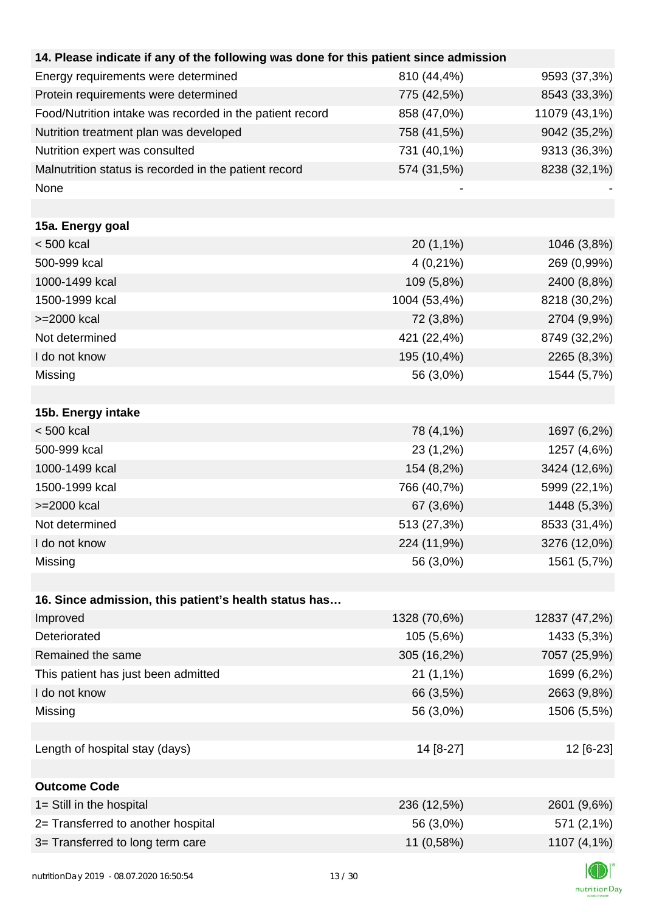| 14. Please indicate if any of the following was done for this patient since admission |              |               |
|---------------------------------------------------------------------------------------|--------------|---------------|
| Energy requirements were determined                                                   | 810 (44,4%)  | 9593 (37,3%)  |
| Protein requirements were determined                                                  | 775 (42,5%)  | 8543 (33,3%)  |
| Food/Nutrition intake was recorded in the patient record                              | 858 (47,0%)  | 11079 (43,1%) |
| Nutrition treatment plan was developed                                                | 758 (41,5%)  | 9042 (35,2%)  |
| Nutrition expert was consulted                                                        | 731 (40,1%)  | 9313 (36,3%)  |
| Malnutrition status is recorded in the patient record                                 | 574 (31,5%)  | 8238 (32,1%)  |
| None                                                                                  |              |               |
|                                                                                       |              |               |
| 15a. Energy goal                                                                      |              |               |
| $< 500$ kcal                                                                          | 20 (1,1%)    | 1046 (3,8%)   |
| 500-999 kcal                                                                          | $4(0,21\%)$  | 269 (0,99%)   |
| 1000-1499 kcal                                                                        | 109 (5,8%)   | 2400 (8,8%)   |
| 1500-1999 kcal                                                                        | 1004 (53,4%) | 8218 (30,2%)  |
| >=2000 kcal                                                                           | 72 (3,8%)    | 2704 (9,9%)   |
| Not determined                                                                        | 421 (22,4%)  | 8749 (32,2%)  |
| I do not know                                                                         | 195 (10,4%)  | 2265 (8,3%)   |
| Missing                                                                               | 56 (3,0%)    | 1544 (5,7%)   |
|                                                                                       |              |               |
| 15b. Energy intake                                                                    |              |               |
| $< 500$ kcal                                                                          | 78 (4,1%)    | 1697 (6,2%)   |
| 500-999 kcal                                                                          | 23 (1,2%)    | 1257 (4,6%)   |
| 1000-1499 kcal                                                                        | 154 (8,2%)   | 3424 (12,6%)  |
| 1500-1999 kcal                                                                        | 766 (40,7%)  | 5999 (22,1%)  |
| >=2000 kcal                                                                           | 67 (3,6%)    | 1448 (5,3%)   |
| Not determined                                                                        | 513 (27,3%)  | 8533 (31,4%)  |
| I do not know                                                                         | 224 (11,9%)  | 3276 (12,0%)  |
| Missing                                                                               | 56 (3,0%)    | 1561 (5,7%)   |
|                                                                                       |              |               |
| 16. Since admission, this patient's health status has                                 |              |               |
| Improved                                                                              | 1328 (70,6%) | 12837 (47,2%) |
| Deteriorated                                                                          | 105 (5,6%)   | 1433 (5,3%)   |
| Remained the same                                                                     | 305 (16,2%)  | 7057 (25,9%)  |
| This patient has just been admitted                                                   | 21(1,1%)     | 1699 (6,2%)   |
| I do not know                                                                         | 66 (3,5%)    | 2663 (9,8%)   |
| Missing                                                                               | 56 (3,0%)    | 1506 (5,5%)   |
|                                                                                       |              |               |
| Length of hospital stay (days)                                                        | 14 [8-27]    | 12 [6-23]     |
|                                                                                       |              |               |
| <b>Outcome Code</b>                                                                   |              |               |
| 1= Still in the hospital                                                              | 236 (12,5%)  | 2601 (9,6%)   |
| 2= Transferred to another hospital                                                    | 56 (3,0%)    | 571 (2,1%)    |
| 3= Transferred to long term care                                                      | 11 (0,58%)   | 1107 (4,1%)   |
|                                                                                       |              |               |

**I**CI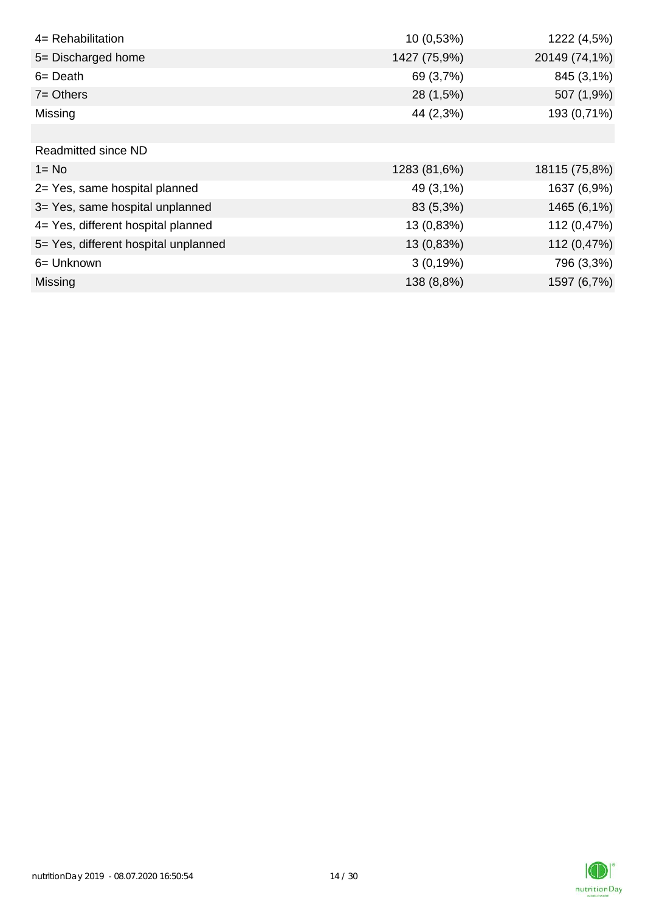| 4= Rehabilitation                    | 10 (0,53%)   | 1222 (4,5%)   |
|--------------------------------------|--------------|---------------|
| 5= Discharged home                   | 1427 (75,9%) | 20149 (74,1%) |
| $6 = Death$                          | 69 (3,7%)    | 845 (3,1%)    |
| $7 =$ Others                         | 28 (1,5%)    | 507 (1,9%)    |
| Missing                              | 44 (2,3%)    | 193 (0,71%)   |
|                                      |              |               |
| <b>Readmitted since ND</b>           |              |               |
| $1 = No$                             | 1283 (81,6%) | 18115 (75,8%) |
| 2= Yes, same hospital planned        | 49 (3,1%)    | 1637 (6,9%)   |
| 3= Yes, same hospital unplanned      | 83 (5,3%)    | 1465 (6,1%)   |
| 4= Yes, different hospital planned   | 13 (0,83%)   | 112 (0,47%)   |
| 5= Yes, different hospital unplanned | 13 (0,83%)   | 112 (0,47%)   |
| 6= Unknown                           | 3(0,19%)     | 796 (3,3%)    |
| Missing                              | 138 (8,8%)   | 1597 (6,7%)   |

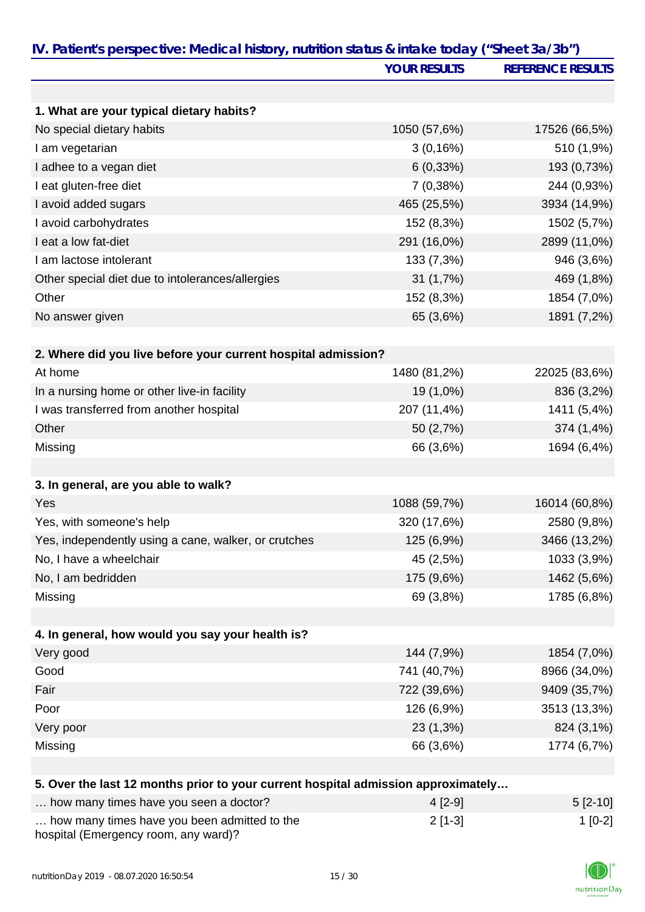| IV. Patient's perspective: Medical history, nutrition status & intake today ("Sheet 3a/3b") |                     |                          |
|---------------------------------------------------------------------------------------------|---------------------|--------------------------|
|                                                                                             | <b>YOUR RESULTS</b> | <b>REFERENCE RESULTS</b> |
|                                                                                             |                     |                          |
| 1. What are your typical dietary habits?                                                    |                     |                          |
| No special dietary habits                                                                   | 1050 (57,6%)        | 17526 (66,5%)            |
| I am vegetarian                                                                             | 3(0,16%)            | 510 (1,9%)               |
| I adhee to a vegan diet                                                                     | 6(0,33%)            | 193 (0,73%)              |
| I eat gluten-free diet                                                                      | 7(0,38%)            | 244 (0,93%)              |
| I avoid added sugars                                                                        | 465 (25,5%)         | 3934 (14,9%)             |
| I avoid carbohydrates                                                                       | 152 (8,3%)          | 1502 (5,7%)              |
| I eat a low fat-diet                                                                        | 291 (16,0%)         | 2899 (11,0%)             |
| I am lactose intolerant                                                                     | 133 (7,3%)          | 946 (3,6%)               |
| Other special diet due to intolerances/allergies                                            | 31(1,7%)            | 469 (1,8%)               |
| Other                                                                                       | 152 (8,3%)          | 1854 (7,0%)              |
| No answer given                                                                             | 65 (3,6%)           | 1891 (7,2%)              |
|                                                                                             |                     |                          |
| 2. Where did you live before your current hospital admission?                               |                     |                          |
| At home                                                                                     | 1480 (81,2%)        | 22025 (83,6%)            |
| In a nursing home or other live-in facility                                                 | 19 (1,0%)           | 836 (3,2%)               |
| I was transferred from another hospital                                                     | 207 (11,4%)         | 1411 (5,4%)              |
| Other                                                                                       | 50 (2,7%)           | 374 (1,4%)               |
| Missing                                                                                     | 66 (3,6%)           | 1694 (6,4%)              |
|                                                                                             |                     |                          |
| 3. In general, are you able to walk?                                                        |                     |                          |
| Yes                                                                                         | 1088 (59,7%)        | 16014 (60,8%)            |
| Yes, with someone's help                                                                    | 320 (17,6%)         | 2580 (9,8%)              |
| Yes, independently using a cane, walker, or crutches                                        | 125 (6,9%)          | 3466 (13,2%)             |
| No, I have a wheelchair                                                                     | 45 (2,5%)           | 1033 (3,9%)              |
| No, I am bedridden                                                                          | 175 (9,6%)          | 1462 (5,6%)              |
| Missing                                                                                     | 69 (3,8%)           | 1785 (6,8%)              |
|                                                                                             |                     |                          |
| 4. In general, how would you say your health is?                                            |                     |                          |
| Very good                                                                                   | 144 (7,9%)          | 1854 (7,0%)              |
| Good                                                                                        | 741 (40,7%)         | 8966 (34,0%)             |
| Fair                                                                                        | 722 (39,6%)         | 9409 (35,7%)             |
| Poor                                                                                        | 126 (6,9%)          | 3513 (13,3%)             |
| Very poor                                                                                   | 23 (1,3%)           | 824 (3,1%)               |
| Missing                                                                                     | 66 (3,6%)           | 1774 (6,7%)              |
|                                                                                             |                     |                          |
| 5. Over the last 12 months prior to your current hospital admission approximately           |                     |                          |
| how many times have you seen a doctor?                                                      | $4[2-9]$            | $5[2-10]$                |
| how many times have you been admitted to the                                                | $2[1-3]$            | $1[0-2]$                 |

… how many times have you been admitted to the hospital (Emergency room, any ward)?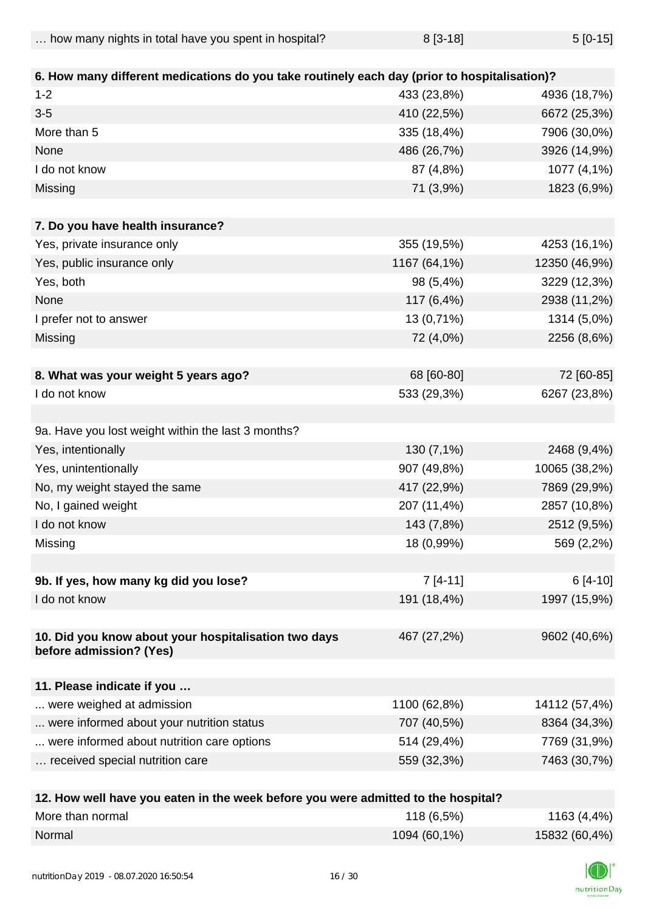|  | how many nights in total have you spent in hospital? | $8[3-18]$ | $5[0-15]$ |
|--|------------------------------------------------------|-----------|-----------|
|--|------------------------------------------------------|-----------|-----------|

| 6. How many different medications do you take routinely each day (prior to hospitalisation)? |                            |               |
|----------------------------------------------------------------------------------------------|----------------------------|---------------|
| $1 - 2$                                                                                      | 433 (23,8%)                | 4936 (18,7%)  |
| $3 - 5$                                                                                      |                            |               |
| More than 5                                                                                  | 410 (22,5%)<br>335 (18,4%) | 6672 (25,3%)  |
|                                                                                              |                            | 7906 (30,0%)  |
| None                                                                                         | 486 (26,7%)                | 3926 (14,9%)  |
| I do not know                                                                                | 87 (4,8%)                  | 1077 (4,1%)   |
| Missing                                                                                      | 71 (3,9%)                  | 1823 (6,9%)   |
| 7. Do you have health insurance?                                                             |                            |               |
| Yes, private insurance only                                                                  | 355 (19,5%)                | 4253 (16,1%)  |
| Yes, public insurance only                                                                   | 1167 (64,1%)               | 12350 (46,9%) |
| Yes, both                                                                                    | 98 (5,4%)                  | 3229 (12,3%)  |
| None                                                                                         | 117 (6,4%)                 | 2938 (11,2%)  |
| I prefer not to answer                                                                       | 13 (0,71%)                 | 1314 (5,0%)   |
| Missing                                                                                      | 72 (4,0%)                  | 2256 (8,6%)   |
|                                                                                              |                            |               |
| 8. What was your weight 5 years ago?                                                         | 68 [60-80]                 | 72 [60-85]    |
| I do not know                                                                                | 533 (29,3%)                | 6267 (23,8%)  |
|                                                                                              |                            |               |
| 9a. Have you lost weight within the last 3 months?                                           |                            |               |
| Yes, intentionally                                                                           | 130 (7,1%)                 | 2468 (9,4%)   |
| Yes, unintentionally                                                                         | 907 (49,8%)                | 10065 (38,2%) |
| No, my weight stayed the same                                                                | 417 (22,9%)                | 7869 (29,9%)  |
| No, I gained weight                                                                          | 207 (11,4%)                | 2857 (10,8%)  |
| I do not know                                                                                | 143 (7,8%)                 | 2512 (9,5%)   |
| Missing                                                                                      | 18 (0,99%)                 | 569 (2,2%)    |
|                                                                                              |                            |               |
| 9b. If yes, how many kg did you lose?                                                        | $7[4-11]$                  | 6 [4-10]      |
| I do not know                                                                                | 191 (18,4%)                | 1997 (15,9%)  |
|                                                                                              |                            |               |
| 10. Did you know about your hospitalisation two days                                         | 467 (27,2%)                | 9602 (40,6%)  |
| before admission? (Yes)                                                                      |                            |               |
|                                                                                              |                            |               |
| 11. Please indicate if you<br>were weighed at admission                                      | 1100 (62,8%)               |               |
|                                                                                              | 707 (40,5%)                | 14112 (57,4%) |
| were informed about your nutrition status                                                    |                            | 8364 (34,3%)  |
| were informed about nutrition care options                                                   | 514 (29,4%)                | 7769 (31,9%)  |
| received special nutrition care                                                              | 559 (32,3%)                | 7463 (30,7%)  |
| 12 How wall boys you estep in the week before you were admitted to the beenitel?             |                            |               |

| 12. How well have you eaten in the week before you were admitted to the hospital? |              |               |
|-----------------------------------------------------------------------------------|--------------|---------------|
| More than normal                                                                  | 118 (6,5%)   | 1163 (4,4%)   |
| Normal                                                                            | 1094 (60,1%) | 15832 (60,4%) |

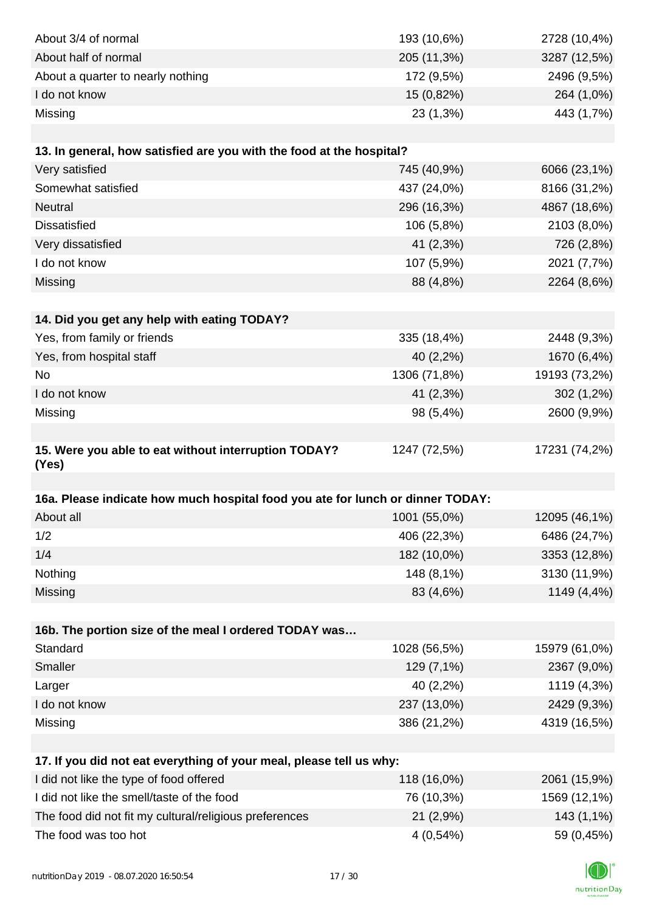| About 3/4 of normal                                                            | 193 (10,6%)  | 2728 (10,4%)  |
|--------------------------------------------------------------------------------|--------------|---------------|
| About half of normal                                                           | 205 (11,3%)  | 3287 (12,5%)  |
| About a quarter to nearly nothing                                              | 172 (9,5%)   | 2496 (9,5%)   |
| I do not know                                                                  | 15 (0,82%)   | 264 (1,0%)    |
| Missing                                                                        | 23 (1,3%)    | 443 (1,7%)    |
|                                                                                |              |               |
| 13. In general, how satisfied are you with the food at the hospital?           |              |               |
| Very satisfied                                                                 | 745 (40,9%)  | 6066 (23,1%)  |
| Somewhat satisfied                                                             | 437 (24,0%)  | 8166 (31,2%)  |
| <b>Neutral</b>                                                                 | 296 (16,3%)  | 4867 (18,6%)  |
| <b>Dissatisfied</b>                                                            | 106 (5,8%)   | 2103 (8,0%)   |
| Very dissatisfied                                                              | 41 (2,3%)    | 726 (2,8%)    |
| I do not know                                                                  | 107 (5,9%)   | 2021 (7,7%)   |
| Missing                                                                        | 88 (4,8%)    | 2264 (8,6%)   |
|                                                                                |              |               |
| 14. Did you get any help with eating TODAY?                                    |              |               |
| Yes, from family or friends                                                    | 335 (18,4%)  | 2448 (9,3%)   |
| Yes, from hospital staff                                                       | 40 (2,2%)    | 1670 (6,4%)   |
| <b>No</b>                                                                      | 1306 (71,8%) | 19193 (73,2%) |
| I do not know                                                                  | 41 (2,3%)    | $302(1,2\%)$  |
| Missing                                                                        | 98 (5,4%)    | 2600 (9,9%)   |
|                                                                                |              |               |
| 15. Were you able to eat without interruption TODAY?                           | 1247 (72,5%) | 17231 (74,2%) |
| (Yes)                                                                          |              |               |
|                                                                                |              |               |
| 16a. Please indicate how much hospital food you ate for lunch or dinner TODAY: |              |               |
| About all                                                                      | 1001 (55,0%) | 12095 (46,1%) |
| 1/2                                                                            | 406 (22,3%)  | 6486 (24,7%)  |
| 1/4                                                                            | 182 (10,0%)  | 3353 (12,8%)  |
| Nothing                                                                        | 148 (8,1%)   | 3130 (11,9%)  |
| Missing                                                                        | 83 (4,6%)    | 1149 (4,4%)   |
|                                                                                |              |               |
| 16b. The portion size of the meal I ordered TODAY was                          |              |               |
| Standard                                                                       | 1028 (56,5%) | 15979 (61,0%) |
| Smaller                                                                        | 129 (7,1%)   | 2367 (9,0%)   |
| Larger                                                                         | 40 (2,2%)    | 1119 (4,3%)   |
| I do not know                                                                  | 237 (13,0%)  | 2429 (9,3%)   |
| Missing                                                                        | 386 (21,2%)  | 4319 (16,5%)  |
|                                                                                |              |               |
| 17. If you did not eat everything of your meal, please tell us why:            |              |               |
| I did not like the type of food offered                                        | 118 (16,0%)  | 2061 (15,9%)  |
| I did not like the smell/taste of the food                                     | 76 (10,3%)   | 1569 (12,1%)  |
| The food did not fit my cultural/religious preferences                         | 21(2,9%)     | 143 (1,1%)    |
| The food was too hot                                                           | 4(0,54%)     | 59 (0,45%)    |

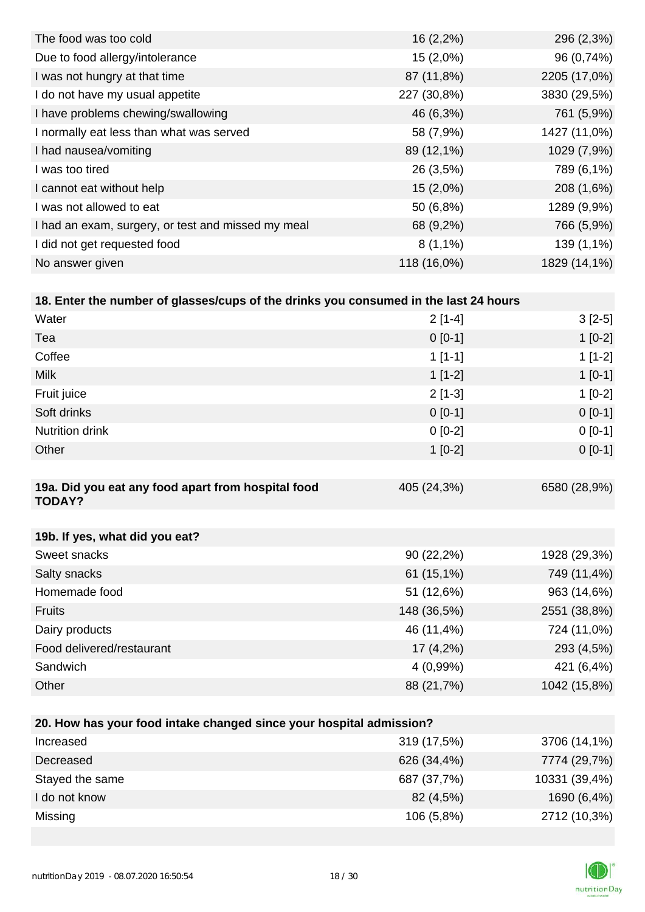| 16(2,2%)    | 296 (2,3%)   |
|-------------|--------------|
| 15 (2,0%)   | 96 (0,74%)   |
| 87 (11,8%)  | 2205 (17,0%) |
| 227 (30,8%) | 3830 (29,5%) |
| 46 (6,3%)   | 761 (5,9%)   |
| 58 (7,9%)   | 1427 (11,0%) |
| 89 (12,1%)  | 1029 (7,9%)  |
| 26 (3,5%)   | 789 (6,1%)   |
| $15(2,0\%)$ | 208 (1,6%)   |
| 50 (6,8%)   | 1289 (9,9%)  |
| 68 (9,2%)   | 766 (5,9%)   |
| $8(1,1\%)$  | 139 (1,1%)   |
| 118 (16,0%) | 1829 (14,1%) |
|             |              |

| 18. Enter the number of glasses/cups of the drinks you consumed in the last 24 hours |             |              |
|--------------------------------------------------------------------------------------|-------------|--------------|
| Water                                                                                | $2[1-4]$    | $3[2-5]$     |
| Tea                                                                                  | $0$ [0-1]   | $1[0-2]$     |
| Coffee                                                                               | $1$ [1-1]   | $1[1-2]$     |
| <b>Milk</b>                                                                          | $1[1-2]$    | $1[0-1]$     |
| Fruit juice                                                                          | $2[1-3]$    | $1$ [0-2]    |
| Soft drinks                                                                          | $0 [0-1]$   | $0[0-1]$     |
| <b>Nutrition drink</b>                                                               | $0 [0-2]$   | $0[0-1]$     |
| Other                                                                                | $1$ [0-2]   | $0[0-1]$     |
|                                                                                      |             |              |
| 19a. Did you eat any food apart from hospital food<br><b>TODAY?</b>                  | 405 (24,3%) | 6580 (28,9%) |
|                                                                                      |             |              |

| 19b. If yes, what did you eat? |              |              |
|--------------------------------|--------------|--------------|
| Sweet snacks                   | $90(22,2\%)$ | 1928 (29,3%) |
| Salty snacks                   | $61(15,1\%)$ | 749 (11,4%)  |
| Homemade food                  | 51 (12,6%)   | 963 (14,6%)  |
| <b>Fruits</b>                  | 148 (36,5%)  | 2551 (38,8%) |
| Dairy products                 | 46 (11,4%)   | 724 (11,0%)  |
| Food delivered/restaurant      | $17(4,2\%)$  | 293 (4,5%)   |
| Sandwich                       | $4(0,99\%)$  | 421 (6,4%)   |
| Other                          | 88 (21,7%)   | 1042 (15,8%) |

| 20. How has your food intake changed since your hospital admission? |             |               |
|---------------------------------------------------------------------|-------------|---------------|
| Increased                                                           | 319 (17,5%) | 3706 (14,1%)  |
| Decreased                                                           | 626 (34,4%) | 7774 (29,7%)  |
| Stayed the same                                                     | 687 (37,7%) | 10331 (39,4%) |
| I do not know                                                       | 82 (4,5%)   | 1690 (6,4%)   |
| Missing                                                             | 106 (5,8%)  | 2712 (10,3%)  |

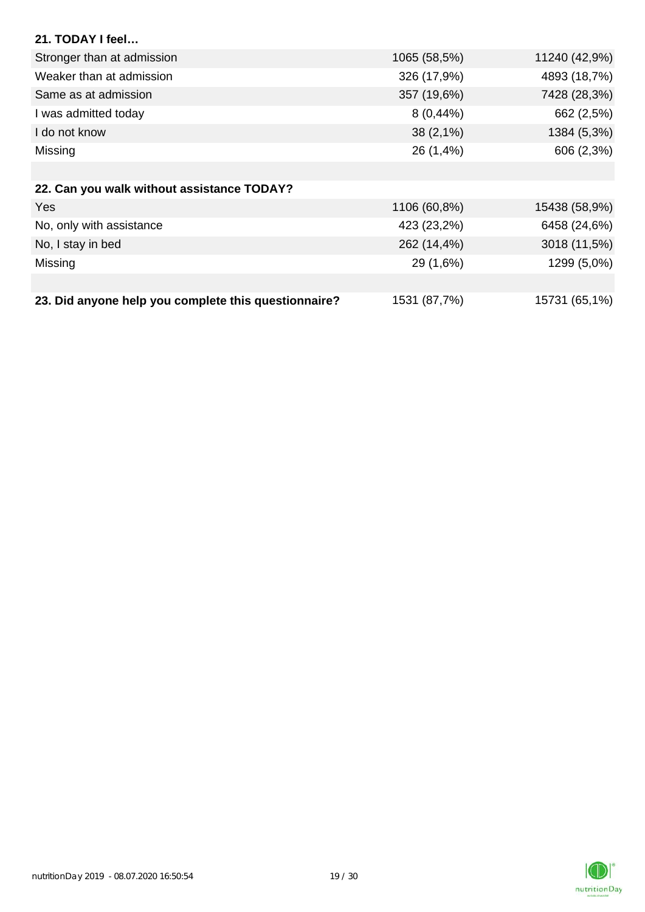| 21. TODAY I feel                                     |              |               |
|------------------------------------------------------|--------------|---------------|
| Stronger than at admission                           | 1065 (58,5%) | 11240 (42,9%) |
| Weaker than at admission                             | 326 (17,9%)  | 4893 (18,7%)  |
| Same as at admission                                 | 357 (19,6%)  | 7428 (28,3%)  |
| I was admitted today                                 | $8(0, 44\%)$ | 662 (2,5%)    |
| I do not know                                        | $38(2,1\%)$  | 1384 (5,3%)   |
| Missing                                              | 26 (1,4%)    | 606 (2,3%)    |
|                                                      |              |               |
| 22. Can you walk without assistance TODAY?           |              |               |
| Yes                                                  | 1106 (60,8%) | 15438 (58,9%) |
| No, only with assistance                             | 423 (23,2%)  | 6458 (24,6%)  |
| No, I stay in bed                                    | 262 (14,4%)  | 3018 (11,5%)  |
| Missing                                              | 29 (1,6%)    | 1299 (5,0%)   |
|                                                      |              |               |
| 23. Did anyone help you complete this questionnaire? | 1531 (87,7%) | 15731 (65,1%) |

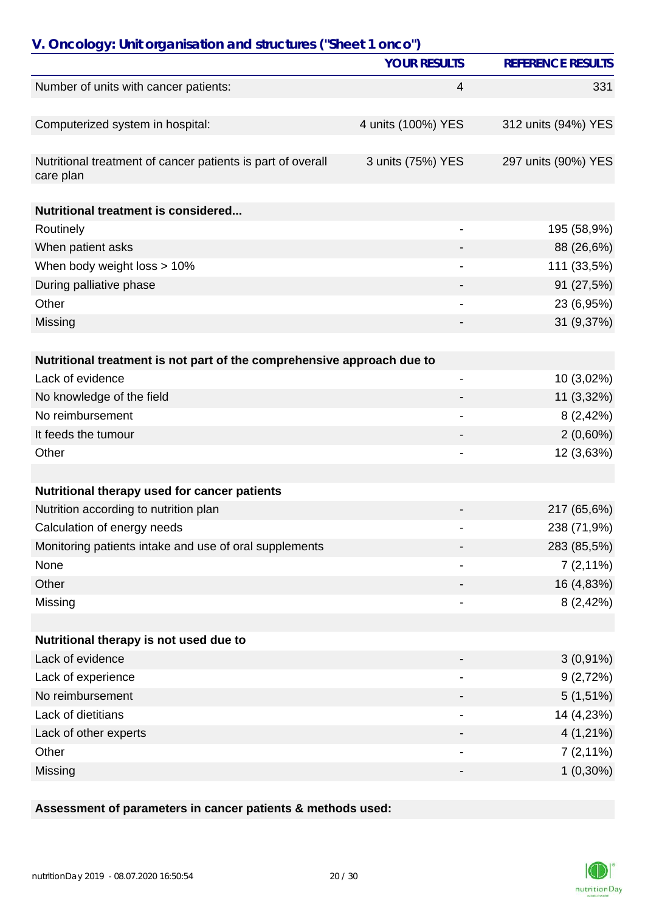| V. Oncology: Unit organisation and structures ("Sheet 1 onco")           |                          |                          |
|--------------------------------------------------------------------------|--------------------------|--------------------------|
|                                                                          | <b>YOUR RESULTS</b>      | <b>REFERENCE RESULTS</b> |
| Number of units with cancer patients:                                    | 4                        | 331                      |
|                                                                          |                          |                          |
| Computerized system in hospital:                                         | 4 units (100%) YES       | 312 units (94%) YES      |
| Nutritional treatment of cancer patients is part of overall<br>care plan | 3 units (75%) YES        | 297 units (90%) YES      |
| Nutritional treatment is considered                                      |                          |                          |
| Routinely                                                                |                          | 195 (58,9%)              |
| When patient asks                                                        |                          | 88 (26,6%)               |
| When body weight loss > 10%                                              |                          | 111 (33,5%)              |
| During palliative phase                                                  |                          | 91 (27,5%)               |
| Other                                                                    |                          | 23 (6,95%)               |
| Missing                                                                  |                          | 31 (9,37%)               |
|                                                                          |                          |                          |
| Nutritional treatment is not part of the comprehensive approach due to   |                          |                          |
| Lack of evidence                                                         | $\overline{\phantom{0}}$ | 10 (3,02%)               |
| No knowledge of the field                                                |                          | 11 (3,32%)               |
| No reimbursement                                                         |                          | 8(2,42%)                 |
| It feeds the tumour                                                      |                          | $2(0,60\%)$              |
| Other                                                                    |                          | 12 (3,63%)               |
|                                                                          |                          |                          |
| Nutritional therapy used for cancer patients                             |                          |                          |
| Nutrition according to nutrition plan                                    |                          | 217 (65,6%)              |
| Calculation of energy needs                                              |                          | 238 (71,9%)              |
| Monitoring patients intake and use of oral supplements                   |                          | 283 (85,5%)              |
| None                                                                     |                          | $7(2,11\%)$              |
| Other                                                                    |                          | 16 (4,83%)               |
| Missing                                                                  |                          | 8(2,42%)                 |
| Nutritional therapy is not used due to                                   |                          |                          |
| Lack of evidence                                                         |                          |                          |
|                                                                          |                          | $3(0,91\%)$              |
| Lack of experience<br>No reimbursement                                   |                          | 9(2,72%)                 |
|                                                                          |                          | $5(1,51\%)$              |
| Lack of dietitians                                                       |                          | 14 (4,23%)               |
| Lack of other experts                                                    |                          | $4(1,21\%)$              |
| Other                                                                    |                          | $7(2,11\%)$              |
| Missing                                                                  |                          | $1(0,30\%)$              |

### **Assessment of parameters in cancer patients & methods used:**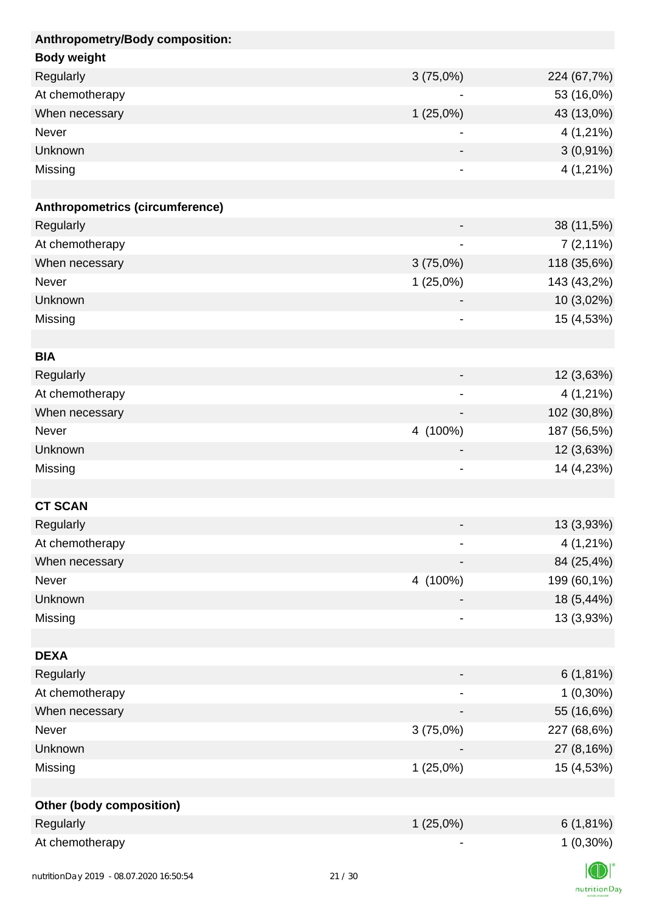| Anthropometry/Body composition:        |             |             |
|----------------------------------------|-------------|-------------|
| <b>Body weight</b>                     |             |             |
| Regularly                              | 3(75,0%)    | 224 (67,7%) |
| At chemotherapy                        |             | 53 (16,0%)  |
| When necessary                         | 1(25,0%)    | 43 (13,0%)  |
| Never                                  |             | $4(1,21\%)$ |
| Unknown                                |             | $3(0,91\%)$ |
| Missing                                |             | $4(1,21\%)$ |
|                                        |             |             |
| Anthropometrics (circumference)        |             |             |
| Regularly                              |             | 38 (11,5%)  |
| At chemotherapy                        |             | $7(2,11\%)$ |
| When necessary                         | 3(75,0%)    | 118 (35,6%) |
| Never                                  | $1(25,0\%)$ | 143 (43,2%) |
| Unknown                                |             | 10 (3,02%)  |
| Missing                                | -           | 15 (4,53%)  |
|                                        |             |             |
| <b>BIA</b>                             |             |             |
| Regularly                              |             | 12 (3,63%)  |
| At chemotherapy                        |             | $4(1,21\%)$ |
| When necessary                         |             | 102 (30,8%) |
| Never                                  | 4 (100%)    | 187 (56,5%) |
| Unknown                                |             | 12 (3,63%)  |
| Missing                                | -           | 14 (4,23%)  |
|                                        |             |             |
| <b>CT SCAN</b>                         |             |             |
| Regularly                              |             | 13 (3,93%)  |
| At chemotherapy                        |             | $4(1,21\%)$ |
| When necessary                         |             | 84 (25,4%)  |
| Never                                  | 4 (100%)    | 199 (60,1%) |
| Unknown                                |             | 18 (5,44%)  |
| Missing                                |             | 13 (3,93%)  |
|                                        |             |             |
| <b>DEXA</b>                            |             |             |
| Regularly                              |             | 6(1,81%)    |
| At chemotherapy                        |             | $1(0,30\%)$ |
| When necessary                         |             | 55 (16,6%)  |
| Never                                  | 3(75,0%)    | 227 (68,6%) |
| Unknown                                |             | 27 (8,16%)  |
| Missing                                | 1(25,0%)    | 15 (4,53%)  |
|                                        |             |             |
| <b>Other (body composition)</b>        |             |             |
| Regularly                              | $1(25,0\%)$ | $6(1,81\%)$ |
| At chemotherapy                        |             | $1(0,30\%)$ |
|                                        |             |             |
| putrition Day 2010 08.07.2020 14:50:54 | 21/20       |             |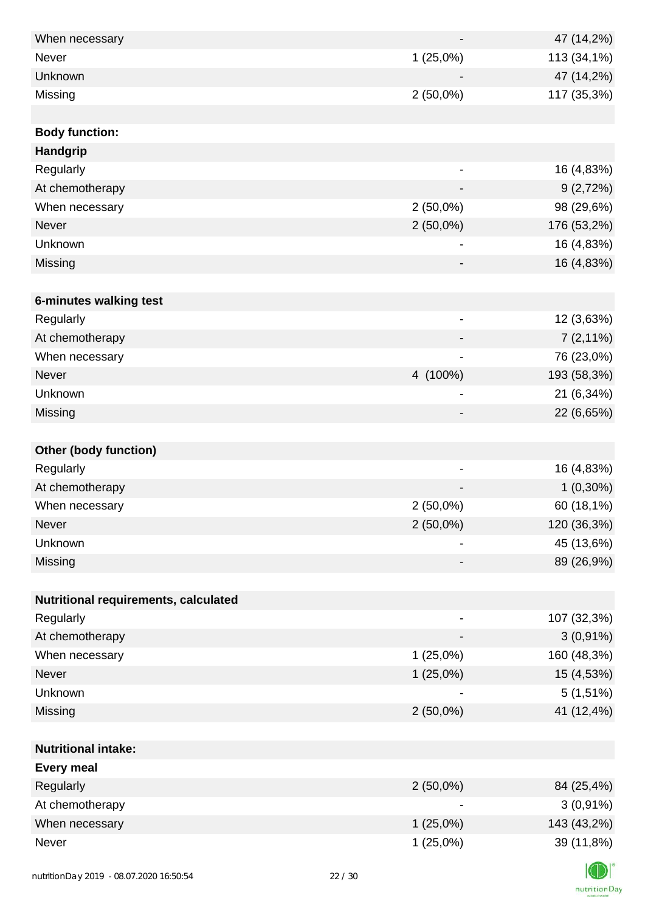| When necessary                       |                              | 47 (14,2%)  |
|--------------------------------------|------------------------------|-------------|
| <b>Never</b>                         | 1(25,0%)                     | 113 (34,1%) |
| Unknown                              |                              | 47 (14,2%)  |
| Missing                              | $2(50,0\%)$                  | 117 (35,3%) |
|                                      |                              |             |
| <b>Body function:</b>                |                              |             |
| Handgrip                             |                              |             |
| Regularly                            | -                            | 16 (4,83%)  |
| At chemotherapy                      |                              | 9(2,72%)    |
| When necessary                       | $2(50,0\%)$                  | 98 (29,6%)  |
| Never                                | $2(50,0\%)$                  | 176 (53,2%) |
| Unknown                              | -                            | 16 (4,83%)  |
| Missing                              |                              | 16 (4,83%)  |
|                                      |                              |             |
| 6-minutes walking test               |                              |             |
| Regularly                            | $\qquad \qquad \blacksquare$ | 12 (3,63%)  |
| At chemotherapy                      |                              | $7(2,11\%)$ |
| When necessary                       |                              | 76 (23,0%)  |
| Never                                | 4 (100%)                     | 193 (58,3%) |
| Unknown                              | $\qquad \qquad \blacksquare$ | 21 (6,34%)  |
| Missing                              | -                            | 22 (6,65%)  |
|                                      |                              |             |
| <b>Other (body function)</b>         |                              |             |
| Regularly                            | $\overline{\phantom{0}}$     | 16 (4,83%)  |
| At chemotherapy                      |                              | $1(0,30\%)$ |
| When necessary                       | $2(50,0\%)$                  | 60 (18,1%)  |
| Never                                | $2(50,0\%)$                  | 120 (36,3%) |
| Unknown                              | -                            | 45 (13,6%)  |
| Missing                              | -                            | 89 (26,9%)  |
|                                      |                              |             |
| Nutritional requirements, calculated |                              |             |
| Regularly                            | $\qquad \qquad \blacksquare$ | 107 (32,3%) |
| At chemotherapy                      |                              | $3(0,91\%)$ |
| When necessary                       | 1(25,0%)                     | 160 (48,3%) |
| Never                                | $1(25,0\%)$                  | 15 (4,53%)  |
| Unknown                              |                              | $5(1,51\%)$ |
| Missing                              | $2(50,0\%)$                  | 41 (12,4%)  |
|                                      |                              |             |
| <b>Nutritional intake:</b>           |                              |             |
| <b>Every meal</b>                    |                              |             |
| Regularly                            | $2(50,0\%)$                  | 84 (25,4%)  |
| At chemotherapy                      |                              | $3(0,91\%)$ |
| When necessary                       | 1(25,0%)                     | 143 (43,2%) |
| Never                                | 1(25,0%)                     | 39 (11,8%)  |
|                                      |                              |             |

K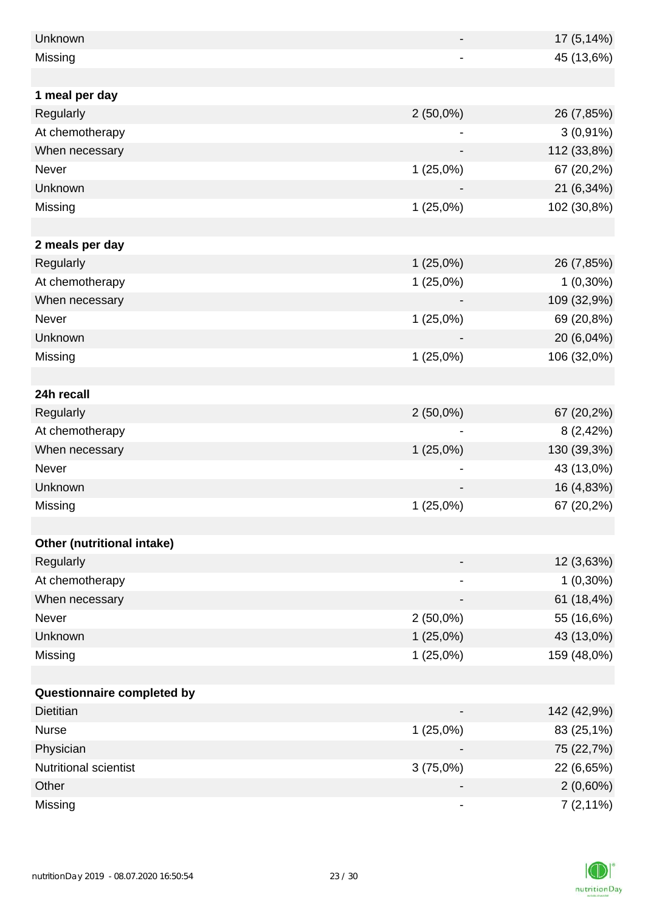| Unknown                    |             | 17 (5,14%)  |
|----------------------------|-------------|-------------|
| Missing                    |             | 45 (13,6%)  |
|                            |             |             |
| 1 meal per day             |             |             |
| Regularly                  | $2(50,0\%)$ | 26 (7,85%)  |
| At chemotherapy            |             | $3(0,91\%)$ |
| When necessary             |             | 112 (33,8%) |
| Never                      | 1(25,0%)    | 67 (20,2%)  |
| Unknown                    |             | 21 (6,34%)  |
| Missing                    | 1(25,0%)    | 102 (30,8%) |
|                            |             |             |
| 2 meals per day            |             |             |
| Regularly                  | 1(25,0%)    | 26 (7,85%)  |
| At chemotherapy            | 1(25,0%)    | $1(0,30\%)$ |
| When necessary             |             | 109 (32,9%) |
| Never                      | 1(25,0%)    | 69 (20,8%)  |
| Unknown                    |             | 20 (6,04%)  |
| Missing                    | 1(25,0%)    | 106 (32,0%) |
|                            |             |             |
| 24h recall                 |             |             |
| Regularly                  | $2(50,0\%)$ | 67 (20,2%)  |
| At chemotherapy            |             | 8(2,42%)    |
| When necessary             | $1(25,0\%)$ | 130 (39,3%) |
| Never                      |             | 43 (13,0%)  |
| Unknown                    |             | 16 (4,83%)  |
| Missing                    | 1(25,0%)    | 67 (20,2%)  |
|                            |             |             |
| Other (nutritional intake) |             |             |
| Regularly                  |             | 12 (3,63%)  |
| At chemotherapy            |             | $1(0,30\%)$ |
| When necessary             |             | 61 (18,4%)  |
| Never                      | $2(50,0\%)$ | 55 (16,6%)  |
| Unknown                    | 1(25,0%)    | 43 (13,0%)  |
| Missing                    | 1(25,0%)    | 159 (48,0%) |
|                            |             |             |
| Questionnaire completed by |             |             |
| <b>Dietitian</b>           |             | 142 (42,9%) |
| <b>Nurse</b>               | 1(25,0%)    | 83 (25,1%)  |
| Physician                  |             | 75 (22,7%)  |
| Nutritional scientist      | 3(75,0%)    | 22 (6,65%)  |
| Other                      |             | $2(0,60\%)$ |
| Missing                    |             | $7(2,11\%)$ |

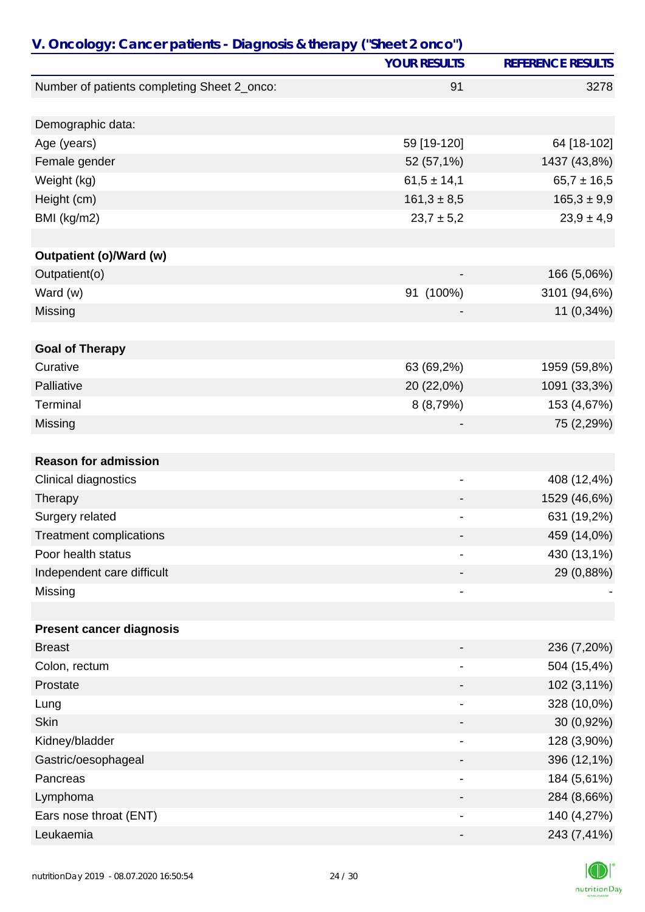| V. Oncology: Cancer patients - Diagnosis & therapy ("Sheet 2 onco") |                              |                          |
|---------------------------------------------------------------------|------------------------------|--------------------------|
|                                                                     | <b>YOUR RESULTS</b>          | <b>REFERENCE RESULTS</b> |
| Number of patients completing Sheet 2_onco:                         | 91                           | 3278                     |
|                                                                     |                              |                          |
| Demographic data:                                                   |                              |                          |
| Age (years)                                                         | 59 [19-120]                  | 64 [18-102]              |
| Female gender                                                       | 52 (57,1%)                   | 1437 (43,8%)             |
| Weight (kg)                                                         | $61,5 \pm 14,1$              | $65,7 \pm 16,5$          |
| Height (cm)                                                         | $161,3 \pm 8,5$              | $165,3 \pm 9,9$          |
| BMI (kg/m2)                                                         | $23,7 \pm 5,2$               | $23,9 \pm 4,9$           |
|                                                                     |                              |                          |
| <b>Outpatient (o)/Ward (w)</b>                                      |                              |                          |
| Outpatient(o)                                                       |                              | 166 (5,06%)              |
| Ward (w)                                                            | 91 (100%)                    | 3101 (94,6%)             |
| Missing                                                             |                              | 11 (0,34%)               |
| <b>Goal of Therapy</b>                                              |                              |                          |
| Curative                                                            | 63 (69,2%)                   | 1959 (59,8%)             |
| Palliative                                                          | 20 (22,0%)                   | 1091 (33,3%)             |
| Terminal                                                            | 8 (8,79%)                    | 153 (4,67%)              |
| Missing                                                             |                              | 75 (2,29%)               |
|                                                                     |                              |                          |
| <b>Reason for admission</b>                                         |                              |                          |
| Clinical diagnostics                                                | -                            | 408 (12,4%)              |
| Therapy                                                             |                              | 1529 (46,6%)             |
| Surgery related                                                     |                              | 631 (19,2%)              |
| <b>Treatment complications</b>                                      |                              | 459 (14,0%)              |
| Poor health status                                                  | $\blacksquare$               | 430 (13,1%)              |
| Independent care difficult                                          |                              | 29 (0,88%)               |
| Missing                                                             |                              |                          |
|                                                                     |                              |                          |
| <b>Present cancer diagnosis</b>                                     |                              |                          |
| <b>Breast</b>                                                       |                              | 236 (7,20%)              |
| Colon, rectum                                                       |                              | 504 (15,4%)              |
| Prostate                                                            |                              | 102 (3,11%)              |
| Lung                                                                | $\qquad \qquad \blacksquare$ | 328 (10,0%)              |
| <b>Skin</b>                                                         |                              | 30 (0,92%)               |
| Kidney/bladder                                                      |                              | 128 (3,90%)              |
| Gastric/oesophageal                                                 |                              | 396 (12,1%)              |
| Pancreas                                                            |                              | 184 (5,61%)              |
| Lymphoma                                                            |                              | 284 (8,66%)              |
| Ears nose throat (ENT)                                              |                              | 140 (4,27%)              |
| Leukaemia                                                           |                              | 243 (7,41%)              |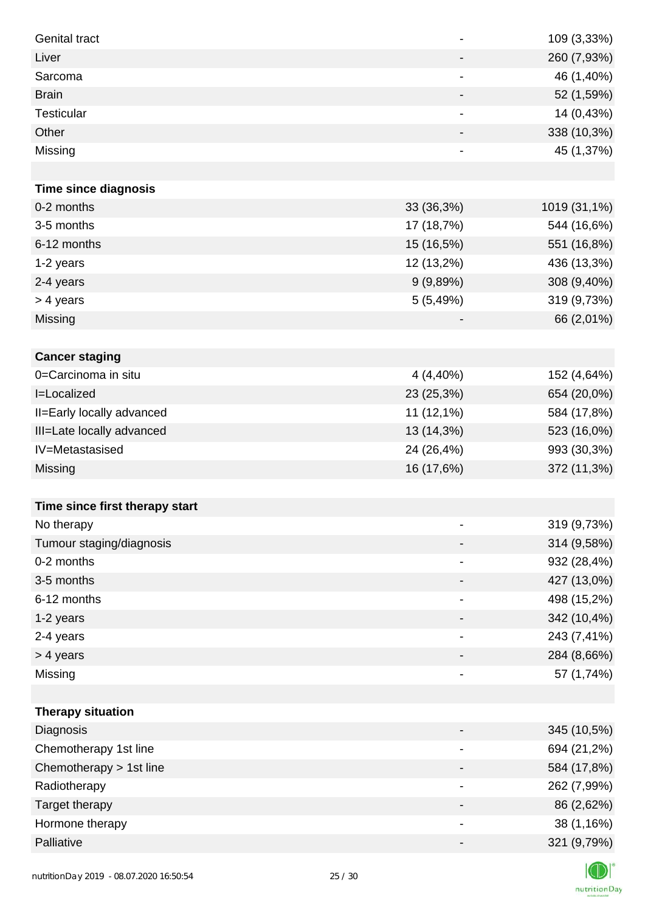| <b>Genital tract</b>           | $\overline{\phantom{a}}$     | 109 (3,33%)  |
|--------------------------------|------------------------------|--------------|
| Liver                          | $\overline{\phantom{a}}$     | 260 (7,93%)  |
| Sarcoma                        |                              | 46 (1,40%)   |
| <b>Brain</b>                   | -                            | 52 (1,59%)   |
| <b>Testicular</b>              | -                            | 14 (0,43%)   |
| Other                          |                              | 338 (10,3%)  |
| Missing                        | $\qquad \qquad \blacksquare$ | 45 (1,37%)   |
|                                |                              |              |
| <b>Time since diagnosis</b>    |                              |              |
| 0-2 months                     | 33 (36,3%)                   | 1019 (31,1%) |
| 3-5 months                     | 17 (18,7%)                   | 544 (16,6%)  |
| 6-12 months                    | 15 (16,5%)                   | 551 (16,8%)  |
| 1-2 years                      | 12 (13,2%)                   | 436 (13,3%)  |
| 2-4 years                      | 9(9,89%)                     | 308 (9,40%)  |
| > 4 years                      | 5(5,49%)                     | 319 (9,73%)  |
| Missing                        |                              | 66 (2,01%)   |
|                                |                              |              |
| <b>Cancer staging</b>          |                              |              |
| 0=Carcinoma in situ            | 4 (4,40%)                    | 152 (4,64%)  |
| <b>I=Localized</b>             | 23 (25,3%)                   | 654 (20,0%)  |
| II=Early locally advanced      | 11 (12,1%)                   | 584 (17,8%)  |
| III=Late locally advanced      | 13 (14,3%)                   | 523 (16,0%)  |
| IV=Metastasised                | 24 (26,4%)                   | 993 (30,3%)  |
| Missing                        | 16 (17,6%)                   | 372 (11,3%)  |
|                                |                              |              |
| Time since first therapy start |                              |              |
| No therapy                     |                              | 319 (9,73%)  |
| Tumour staging/diagnosis       |                              | 314 (9,58%)  |
| 0-2 months                     |                              | 932 (28,4%)  |
| 3-5 months                     |                              | 427 (13,0%)  |
| 6-12 months                    | -                            | 498 (15,2%)  |
| 1-2 years                      |                              | 342 (10,4%)  |
| 2-4 years                      | $\overline{\phantom{a}}$     | 243 (7,41%)  |
| > 4 years                      |                              | 284 (8,66%)  |
| Missing                        | $\overline{\phantom{a}}$     | 57 (1,74%)   |
|                                |                              |              |
| <b>Therapy situation</b>       |                              |              |
| Diagnosis                      |                              | 345 (10,5%)  |
| Chemotherapy 1st line          |                              | 694 (21,2%)  |
| Chemotherapy > 1st line        |                              | 584 (17,8%)  |
| Radiotherapy                   | $\overline{\phantom{a}}$     | 262 (7,99%)  |
| Target therapy                 |                              | 86 (2,62%)   |
| Hormone therapy                | $\overline{\phantom{a}}$     | 38 (1,16%)   |
| Palliative                     | -                            | 321 (9,79%)  |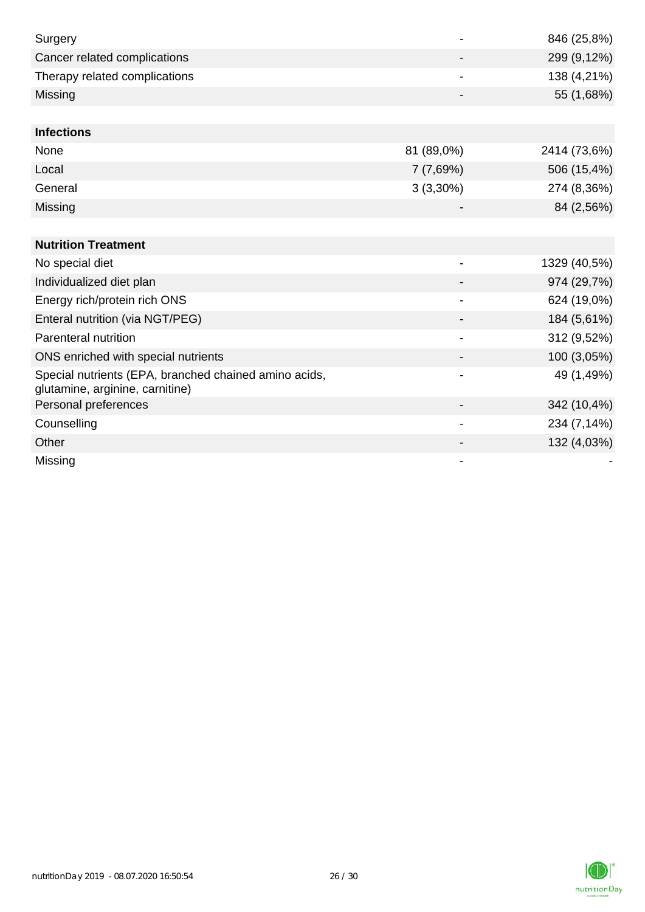| Surgery                                                                                  |                          | 846 (25,8%)  |
|------------------------------------------------------------------------------------------|--------------------------|--------------|
| Cancer related complications                                                             |                          | 299 (9,12%)  |
| Therapy related complications                                                            |                          | 138 (4,21%)  |
| Missing                                                                                  |                          | 55 (1,68%)   |
|                                                                                          |                          |              |
| <b>Infections</b>                                                                        |                          |              |
| None                                                                                     | 81 (89,0%)               | 2414 (73,6%) |
| Local                                                                                    | 7(7,69%)                 | 506 (15,4%)  |
| General                                                                                  | $3(3,30\%)$              | 274 (8,36%)  |
| Missing                                                                                  |                          | 84 (2,56%)   |
|                                                                                          |                          |              |
| <b>Nutrition Treatment</b>                                                               |                          |              |
| No special diet                                                                          | -                        | 1329 (40,5%) |
| Individualized diet plan                                                                 |                          | 974 (29,7%)  |
| Energy rich/protein rich ONS                                                             | $\overline{\phantom{0}}$ | 624 (19,0%)  |
| Enteral nutrition (via NGT/PEG)                                                          |                          | 184 (5,61%)  |
| Parenteral nutrition                                                                     |                          | 312 (9,52%)  |
| ONS enriched with special nutrients                                                      |                          | 100 (3,05%)  |
| Special nutrients (EPA, branched chained amino acids,<br>glutamine, arginine, carnitine) |                          | 49 (1,49%)   |
| Personal preferences                                                                     |                          | 342 (10,4%)  |
| Counselling                                                                              | -                        | 234 (7,14%)  |
| Other                                                                                    |                          | 132 (4,03%)  |
| Missing                                                                                  |                          |              |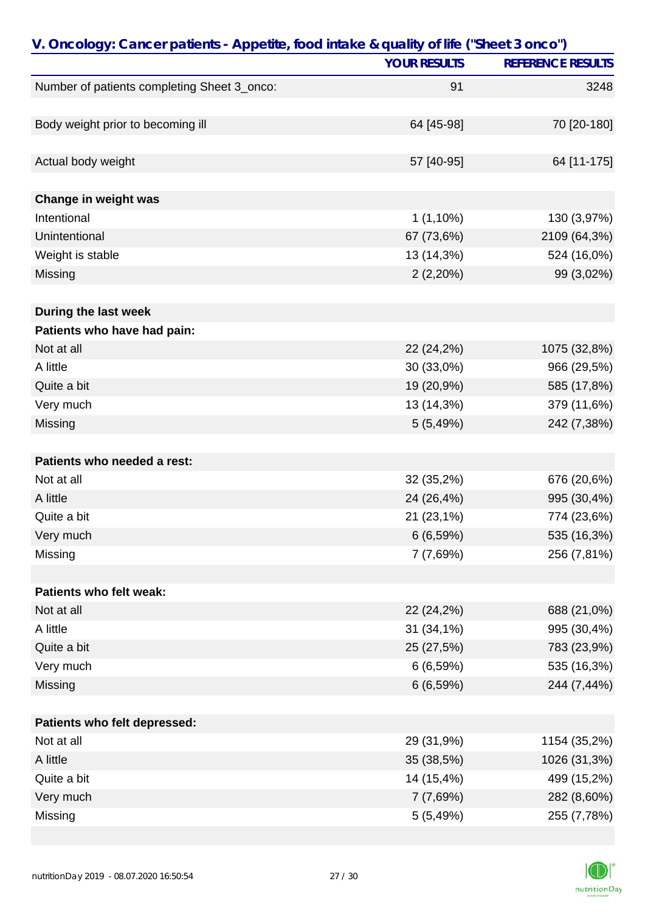| V. Oncology: Cancer patients - Appetite, food intake & quality of life ("Sheet 3 onco") |                     |                          |
|-----------------------------------------------------------------------------------------|---------------------|--------------------------|
|                                                                                         | <b>YOUR RESULTS</b> | <b>REFERENCE RESULTS</b> |
| Number of patients completing Sheet 3_onco:                                             | 91                  | 3248                     |
|                                                                                         |                     |                          |
| Body weight prior to becoming ill                                                       | 64 [45-98]          | 70 [20-180]              |
|                                                                                         |                     |                          |
| Actual body weight                                                                      | 57 [40-95]          | 64 [11-175]              |
|                                                                                         |                     |                          |
| Change in weight was                                                                    |                     |                          |
| Intentional                                                                             | $1(1,10\%)$         | 130 (3,97%)              |
| Unintentional                                                                           | 67 (73,6%)          | 2109 (64,3%)             |
| Weight is stable                                                                        | 13 (14,3%)          | 524 (16,0%)              |
| Missing                                                                                 | 2(2,20%)            | 99 (3,02%)               |
|                                                                                         |                     |                          |
| During the last week                                                                    |                     |                          |
| Patients who have had pain:                                                             |                     |                          |
| Not at all                                                                              | 22 (24,2%)          | 1075 (32,8%)             |
| A little                                                                                | 30 (33,0%)          | 966 (29,5%)              |
| Quite a bit                                                                             | 19 (20,9%)          | 585 (17,8%)              |
| Very much                                                                               | 13 (14,3%)          | 379 (11,6%)              |
| Missing                                                                                 | 5(5,49%)            | 242 (7,38%)              |
|                                                                                         |                     |                          |
| Patients who needed a rest:                                                             |                     |                          |
| Not at all                                                                              | 32 (35,2%)          | 676 (20,6%)              |
| A little                                                                                | 24 (26,4%)          | 995 (30,4%)              |
| Quite a bit                                                                             | 21 (23,1%)          | 774 (23,6%)              |
| Very much                                                                               | 6(6,59%)            | 535 (16,3%)              |
| Missing                                                                                 | 7 (7,69%)           | 256 (7,81%)              |
|                                                                                         |                     |                          |
| Patients who felt weak:                                                                 |                     |                          |
| Not at all                                                                              | 22 (24,2%)          | 688 (21,0%)              |
| A little                                                                                | 31 (34,1%)          | 995 (30,4%)              |
| Quite a bit                                                                             | 25 (27,5%)          | 783 (23,9%)              |
| Very much                                                                               | 6(6,59%)            | 535 (16,3%)              |
| Missing                                                                                 | 6(6,59%)            | 244 (7,44%)              |
|                                                                                         |                     |                          |
| Patients who felt depressed:                                                            |                     |                          |
| Not at all                                                                              | 29 (31,9%)          | 1154 (35,2%)             |
| A little                                                                                | 35 (38,5%)          | 1026 (31,3%)             |
| Quite a bit                                                                             | 14 (15,4%)          | 499 (15,2%)              |
| Very much                                                                               | 7 (7,69%)           | 282 (8,60%)              |
| Missing                                                                                 | 5 (5,49%)           | 255 (7,78%)              |

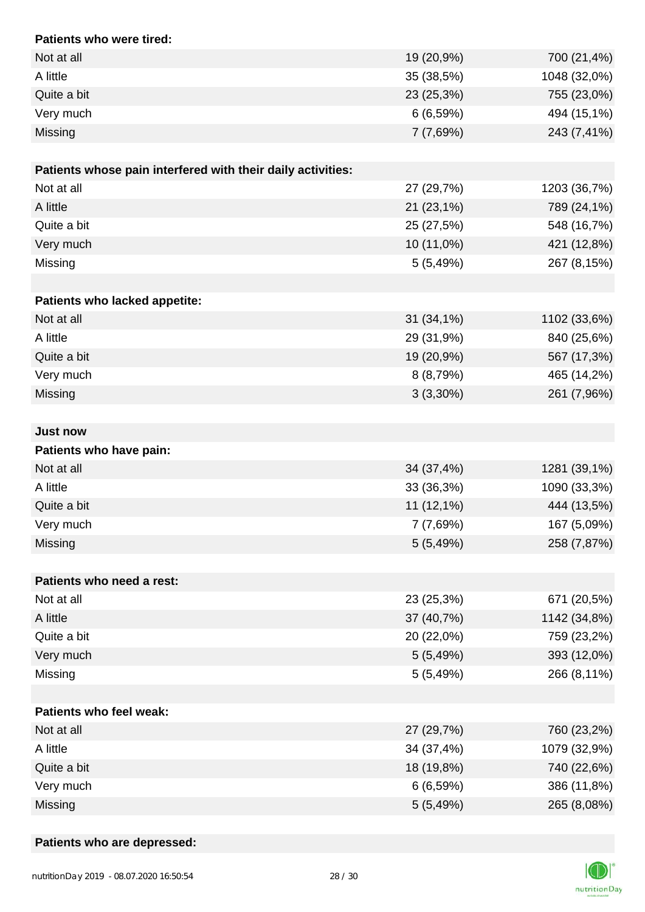| Patients who were tired:                                    |              |              |
|-------------------------------------------------------------|--------------|--------------|
| Not at all                                                  | 19 (20,9%)   | 700 (21,4%)  |
| A little                                                    | 35 (38,5%)   | 1048 (32,0%) |
| Quite a bit                                                 | 23 (25,3%)   | 755 (23,0%)  |
| Very much                                                   | 6(6,59%)     | 494 (15,1%)  |
| Missing                                                     | 7(7,69%)     | 243 (7,41%)  |
|                                                             |              |              |
| Patients whose pain interfered with their daily activities: |              |              |
| Not at all                                                  | 27 (29,7%)   | 1203 (36,7%) |
| A little                                                    | 21 (23,1%)   | 789 (24,1%)  |
| Quite a bit                                                 | 25 (27,5%)   | 548 (16,7%)  |
| Very much                                                   | 10 (11,0%)   | 421 (12,8%)  |
| Missing                                                     | 5(5,49%)     | 267 (8,15%)  |
|                                                             |              |              |
| Patients who lacked appetite:                               |              |              |
| Not at all                                                  | $31(34,1\%)$ | 1102 (33,6%) |
| A little                                                    | 29 (31,9%)   | 840 (25,6%)  |
| Quite a bit                                                 | 19 (20,9%)   | 567 (17,3%)  |
| Very much                                                   | 8(8,79%)     | 465 (14,2%)  |
| Missing                                                     | $3(3,30\%)$  | 261 (7,96%)  |
|                                                             |              |              |
| <b>Just now</b>                                             |              |              |
| Patients who have pain:                                     |              |              |
| Not at all                                                  | 34 (37,4%)   | 1281 (39,1%) |
| A little                                                    | 33 (36,3%)   | 1090 (33,3%) |
| Quite a bit                                                 | 11 (12,1%)   | 444 (13,5%)  |
| Very much                                                   | 7(7,69%)     | 167 (5,09%)  |
| Missing                                                     | 5(5,49%)     | 258 (7,87%)  |
|                                                             |              |              |
| Patients who need a rest:                                   |              |              |
| Not at all                                                  | 23 (25,3%)   | 671 (20,5%)  |
| A little                                                    | 37 (40,7%)   | 1142 (34,8%) |
| Quite a bit                                                 | 20 (22,0%)   | 759 (23,2%)  |
| Very much                                                   | 5(5,49%)     | 393 (12,0%)  |
| Missing                                                     | 5(5,49%)     | 266 (8,11%)  |
|                                                             |              |              |
| Patients who feel weak:                                     |              |              |
| Not at all                                                  | 27 (29,7%)   | 760 (23,2%)  |
| A little                                                    | 34 (37,4%)   | 1079 (32,9%) |
| Quite a bit                                                 | 18 (19,8%)   | 740 (22,6%)  |
| Very much                                                   | 6 (6,59%)    | 386 (11,8%)  |
| Missing                                                     | 5(5,49%)     | 265 (8,08%)  |

# **Patients who are depressed:**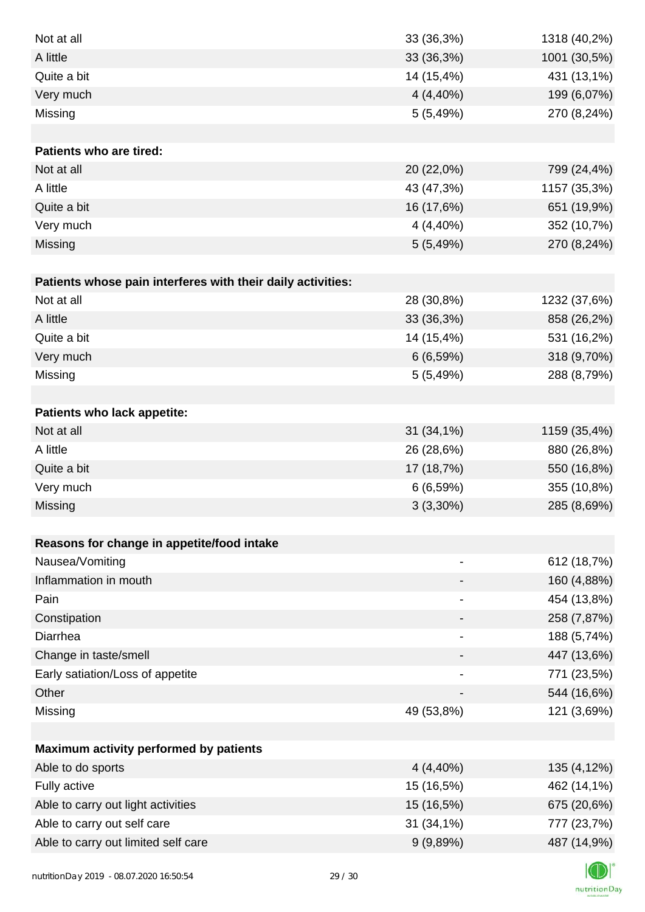| Not at all                                                  | 33 (36,3%)                   | 1318 (40,2%) |
|-------------------------------------------------------------|------------------------------|--------------|
| A little                                                    | 33 (36,3%)                   | 1001 (30,5%) |
| Quite a bit                                                 | 14 (15,4%)                   | 431 (13,1%)  |
| Very much                                                   | $4(4,40\%)$                  | 199 (6,07%)  |
| Missing                                                     | 5(5,49%)                     | 270 (8,24%)  |
|                                                             |                              |              |
| <b>Patients who are tired:</b>                              |                              |              |
| Not at all                                                  | 20 (22,0%)                   | 799 (24,4%)  |
| A little                                                    | 43 (47,3%)                   | 1157 (35,3%) |
| Quite a bit                                                 | 16 (17,6%)                   | 651 (19,9%)  |
| Very much                                                   | 4 (4,40%)                    | 352 (10,7%)  |
| Missing                                                     | 5(5,49%)                     | 270 (8,24%)  |
|                                                             |                              |              |
| Patients whose pain interferes with their daily activities: |                              |              |
| Not at all                                                  | 28 (30,8%)                   | 1232 (37,6%) |
| A little                                                    | 33 (36,3%)                   | 858 (26,2%)  |
| Quite a bit                                                 | 14 (15,4%)                   | 531 (16,2%)  |
| Very much                                                   | 6(6,59%)                     | 318 (9,70%)  |
| Missing                                                     | 5 (5,49%)                    | 288 (8,79%)  |
|                                                             |                              |              |
| Patients who lack appetite:                                 |                              |              |
| Not at all                                                  | 31 (34,1%)                   | 1159 (35,4%) |
| A little                                                    | 26 (28,6%)                   | 880 (26,8%)  |
| Quite a bit                                                 | 17 (18,7%)                   | 550 (16,8%)  |
| Very much                                                   | 6(6,59%)                     | 355 (10,8%)  |
| Missing                                                     | $3(3,30\%)$                  | 285 (8,69%)  |
|                                                             |                              |              |
| Reasons for change in appetite/food intake                  |                              |              |
| Nausea/Vomiting                                             |                              | 612 (18,7%)  |
| Inflammation in mouth                                       |                              | 160 (4,88%)  |
| Pain                                                        |                              | 454 (13,8%)  |
| Constipation                                                |                              | 258 (7,87%)  |
| Diarrhea                                                    | $\qquad \qquad \blacksquare$ | 188 (5,74%)  |
| Change in taste/smell                                       |                              | 447 (13,6%)  |
| Early satiation/Loss of appetite                            |                              | 771 (23,5%)  |
| Other                                                       |                              | 544 (16,6%)  |
| Missing                                                     | 49 (53,8%)                   | 121 (3,69%)  |
|                                                             |                              |              |
| Maximum activity performed by patients                      |                              |              |
| Able to do sports                                           | $4(4,40\%)$                  | 135 (4,12%)  |
| Fully active                                                | 15 (16,5%)                   | 462 (14,1%)  |
| Able to carry out light activities                          | 15 (16,5%)                   | 675 (20,6%)  |
| Able to carry out self care                                 | 31 (34,1%)                   | 777 (23,7%)  |
| Able to carry out limited self care                         | 9(9,89%)                     | 487 (14,9%)  |
|                                                             |                              |              |